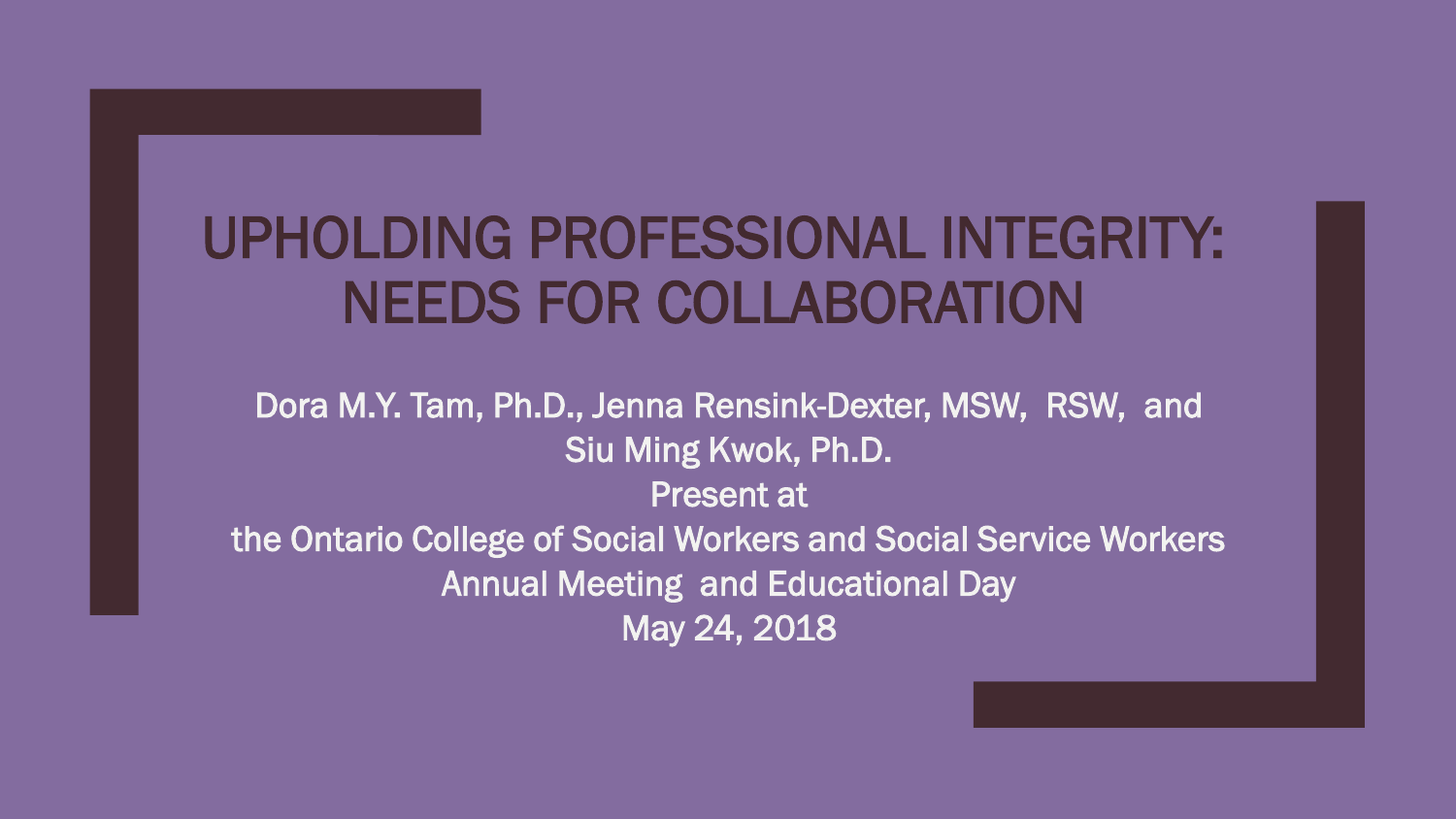### UPHOLDING PROFESSIONAL INTEGRITY: NEEDS FOR COLLABORATION

Dora M.Y. Tam, Ph.D., Jenna Rensink-Dexter, MSW, RSW, and Siu Ming Kwok, Ph.D. Present at the Ontario College of Social Workers and Social Service Workers Annual Meeting and Educational Day May 24, 2018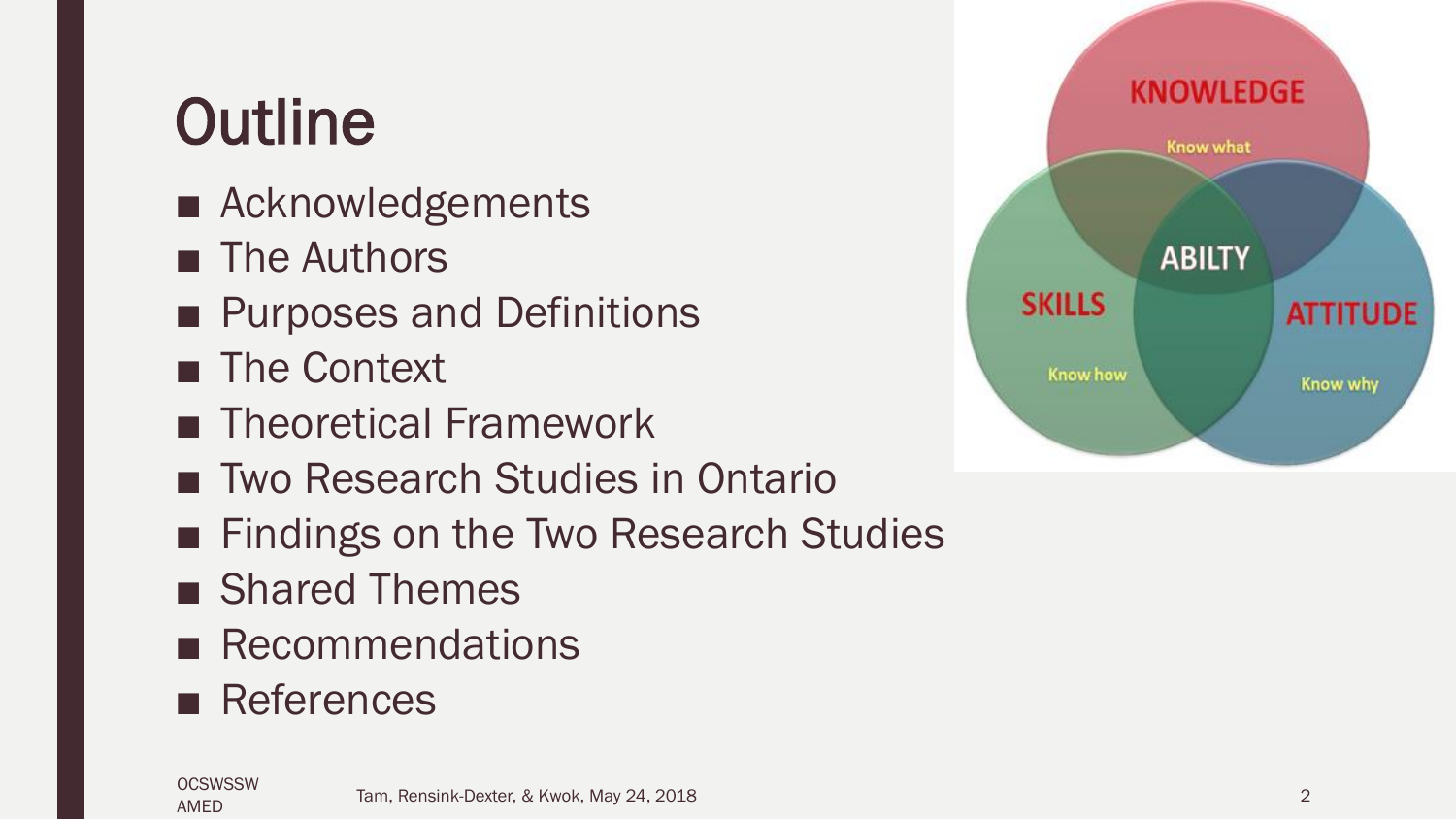## **Outline**

- Acknowledgements
- The Authors
- Purposes and Definitions
- The Context
- Theoretical Framework
- Two Research Studies in Ontario
- Findings on the Two Research Studies
- Shared Themes
- Recommendations
- References



**OCSWSSW** AMED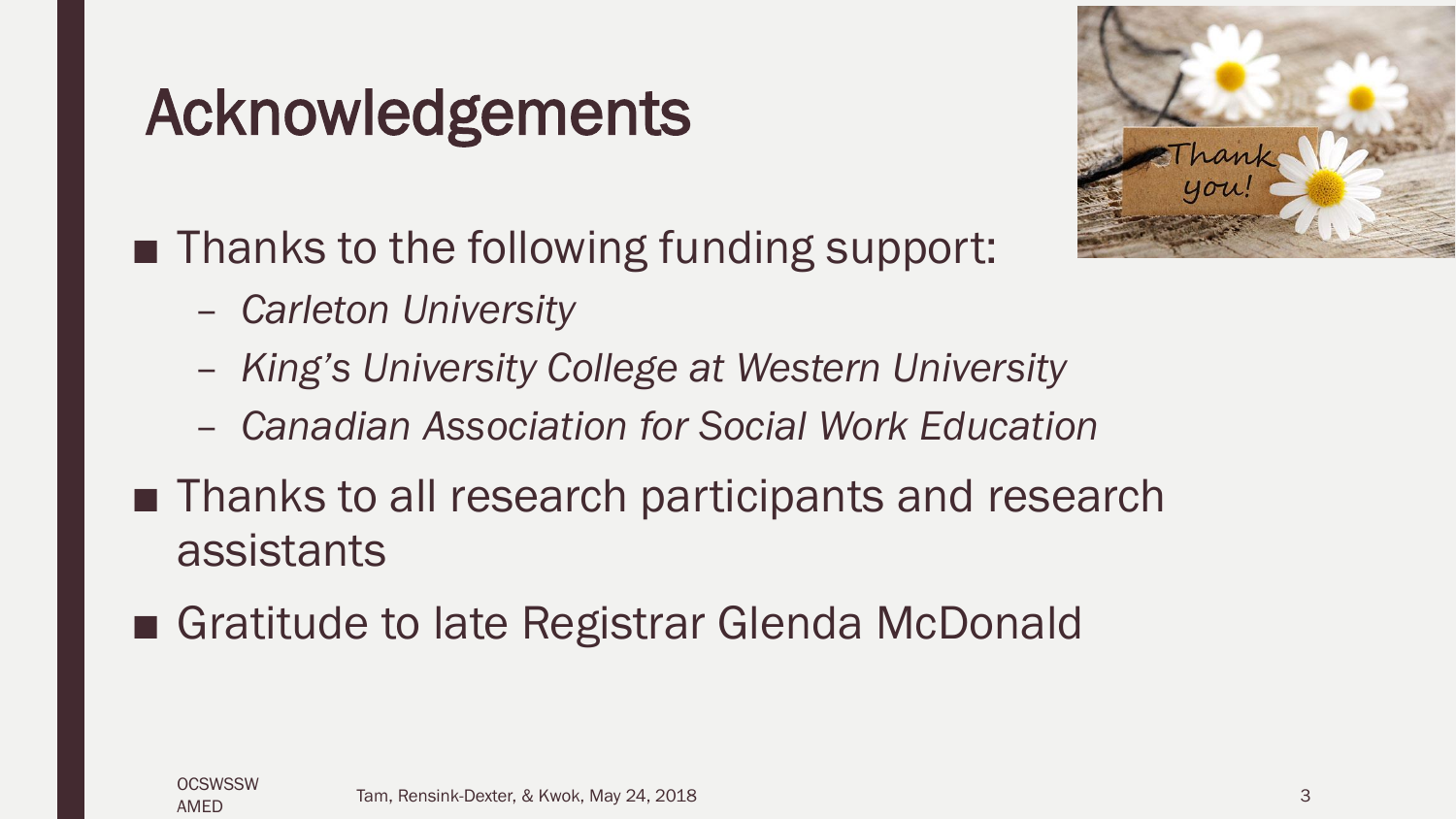### Acknowledgements

- Thanks to the following funding support:
	- *Carleton University*
	- *King's University College at Western University*
	- *Canadian Association for Social Work Education*
- Thanks to all research participants and research assistants
- Gratitude to late Registrar Glenda McDonald

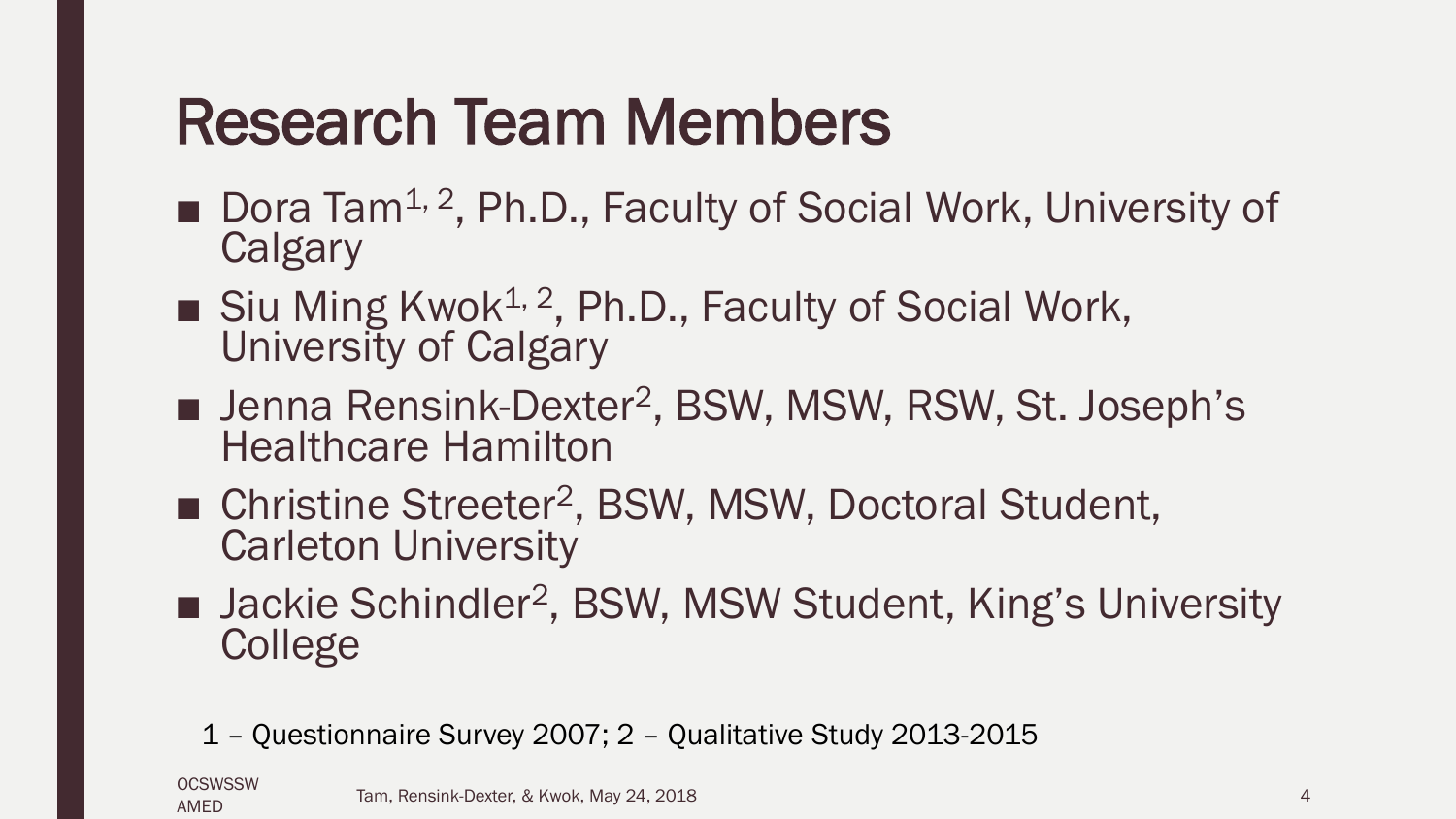### Research Team Members

- Dora Tam<sup>1, 2</sup>, Ph.D., Faculty of Social Work, University of **Calgary**
- $\blacksquare$  Siu Ming Kwok<sup>1, 2</sup>, Ph.D., Faculty of Social Work, University of Calgary
- Jenna Rensink-Dexter<sup>2</sup>, BSW, MSW, RSW, St. Joseph's Healthcare Hamilton
- Christine Streeter<sup>2</sup>, BSW, MSW, Doctoral Student, Carleton University
- Jackie Schindler<sup>2</sup>, BSW, MSW Student, King's University **College** 
	- 1 Questionnaire Survey 2007; 2 Qualitative Study 2013-2015

**OCSWSSW** AMED

Tam, Rensink-Dexter, & Kwok, May 24, 2018 4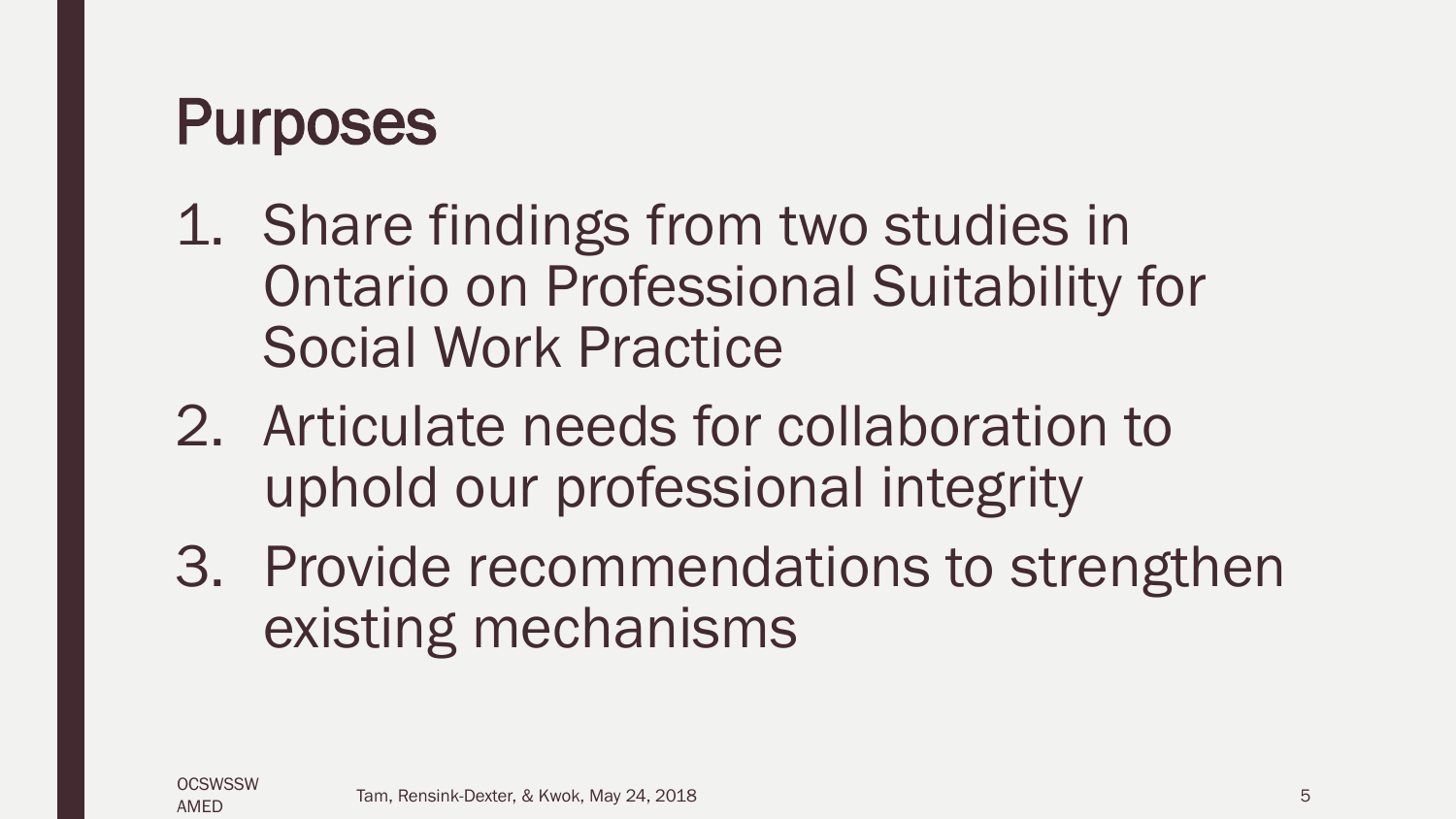### Purposes

- 1. Share findings from two studies in Ontario on Professional Suitability for Social Work Practice
- 2. Articulate needs for collaboration to uphold our professional integrity
- 3. Provide recommendations to strengthen existing mechanisms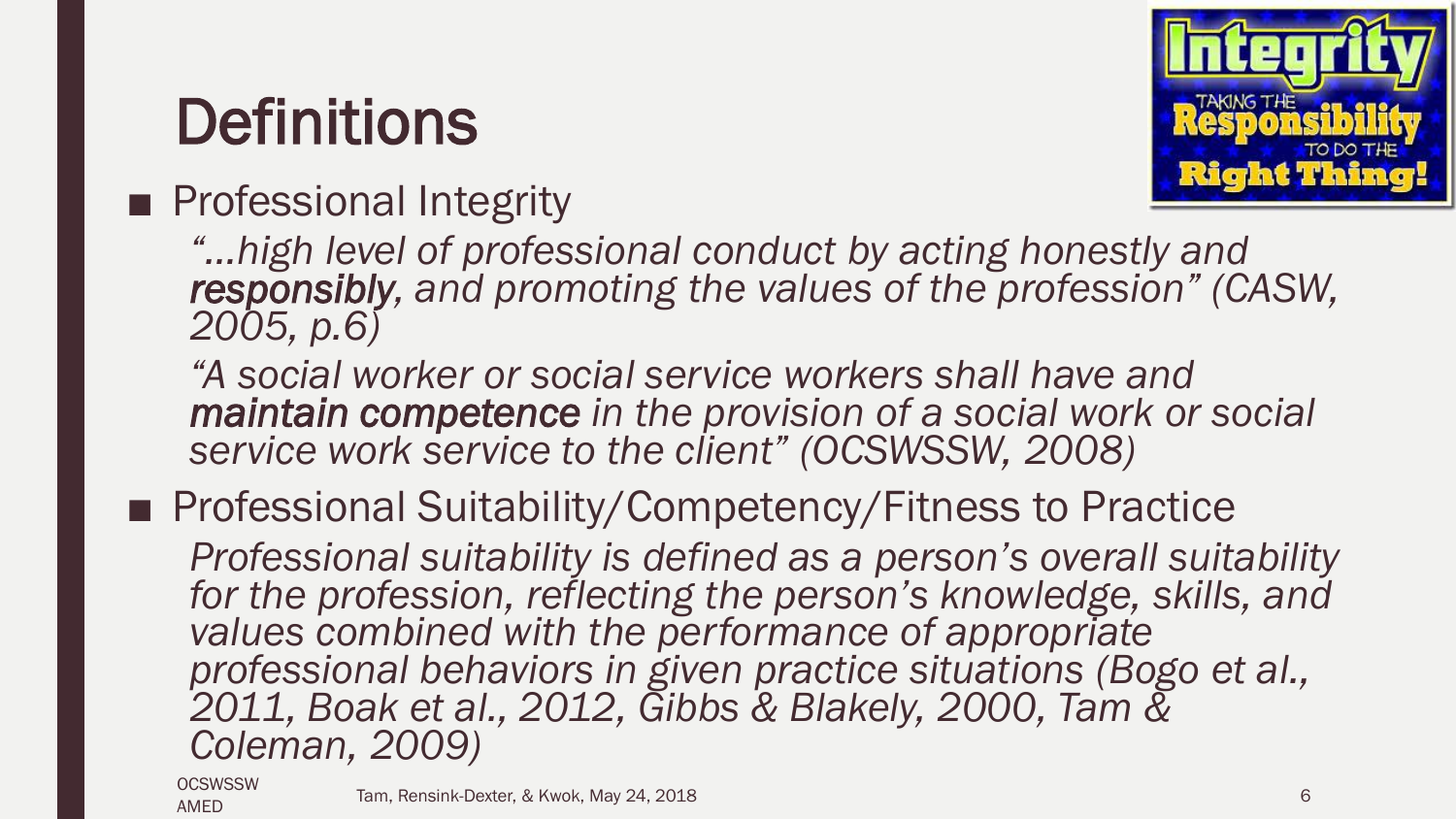### **Definitions**

#### ■ Professional Integrity



*"…high level of professional conduct by acting honestly and responsibly, and promoting the values of the profession" (CASW, 2005, p.6)*

*"A social worker or social service workers shall have and maintain competence in the provision of a social work or social service work service to the client" (OCSWSSW, 2008)*

■ Professional Suitability/Competency/Fitness to Practice

*Professional suitability is defined as a person's overall suitability for the profession, reflecting the person's knowledge, skills, and*  values combined with the performance of appropriate *professional behaviors in given practice situations (Bogo et al., 2011, Boak et al., 2012, Gibbs & Blakely, 2000, Tam & Coleman, 2009)*

**OCSWSSW** AMED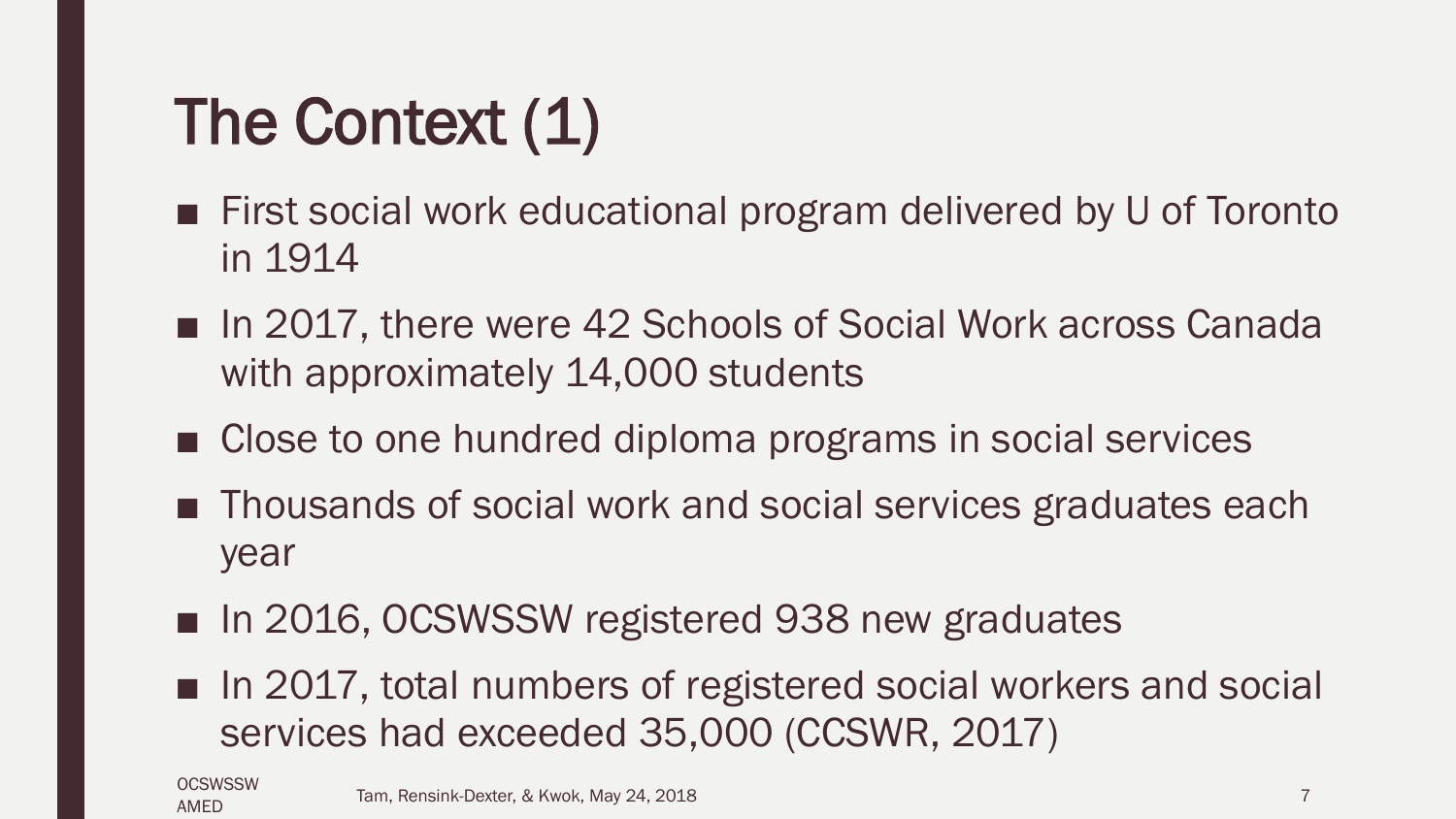# The Context (1)

- First social work educational program delivered by U of Toronto in 1914
- In 2017, there were 42 Schools of Social Work across Canada with approximately 14,000 students
- Close to one hundred diploma programs in social services
- Thousands of social work and social services graduates each year
- In 2016, OCSWSSW registered 938 new graduates
- In 2017, total numbers of registered social workers and social services had exceeded 35,000 (CCSWR, 2017)

**OCSWSSW** AMED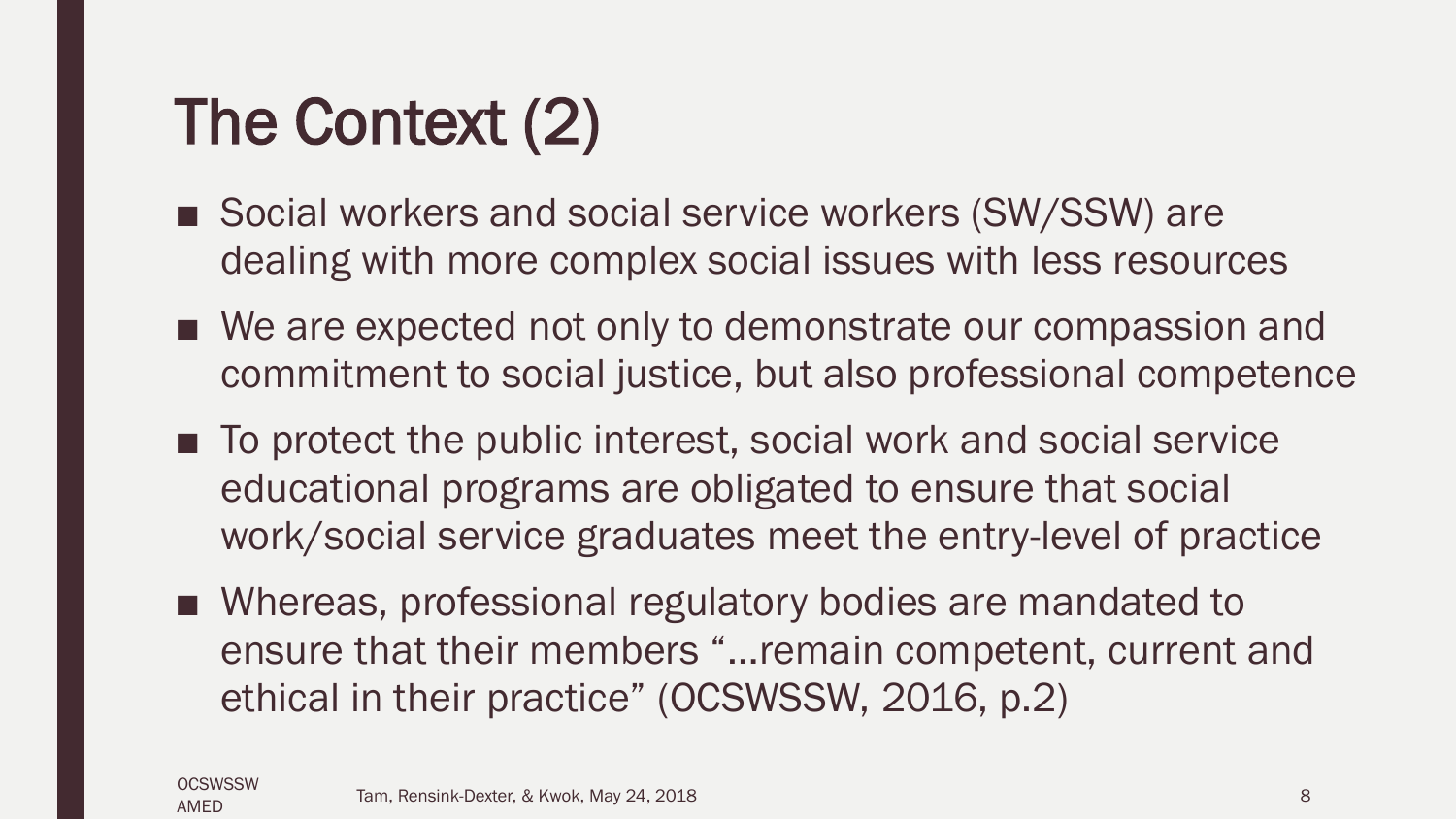## The Context (2)

- Social workers and social service workers (SW/SSW) are dealing with more complex social issues with less resources
- We are expected not only to demonstrate our compassion and commitment to social justice, but also professional competence
- To protect the public interest, social work and social service educational programs are obligated to ensure that social work/social service graduates meet the entry-level of practice
- Whereas, professional regulatory bodies are mandated to ensure that their members "…remain competent, current and ethical in their practice" (OCSWSSW, 2016, p.2)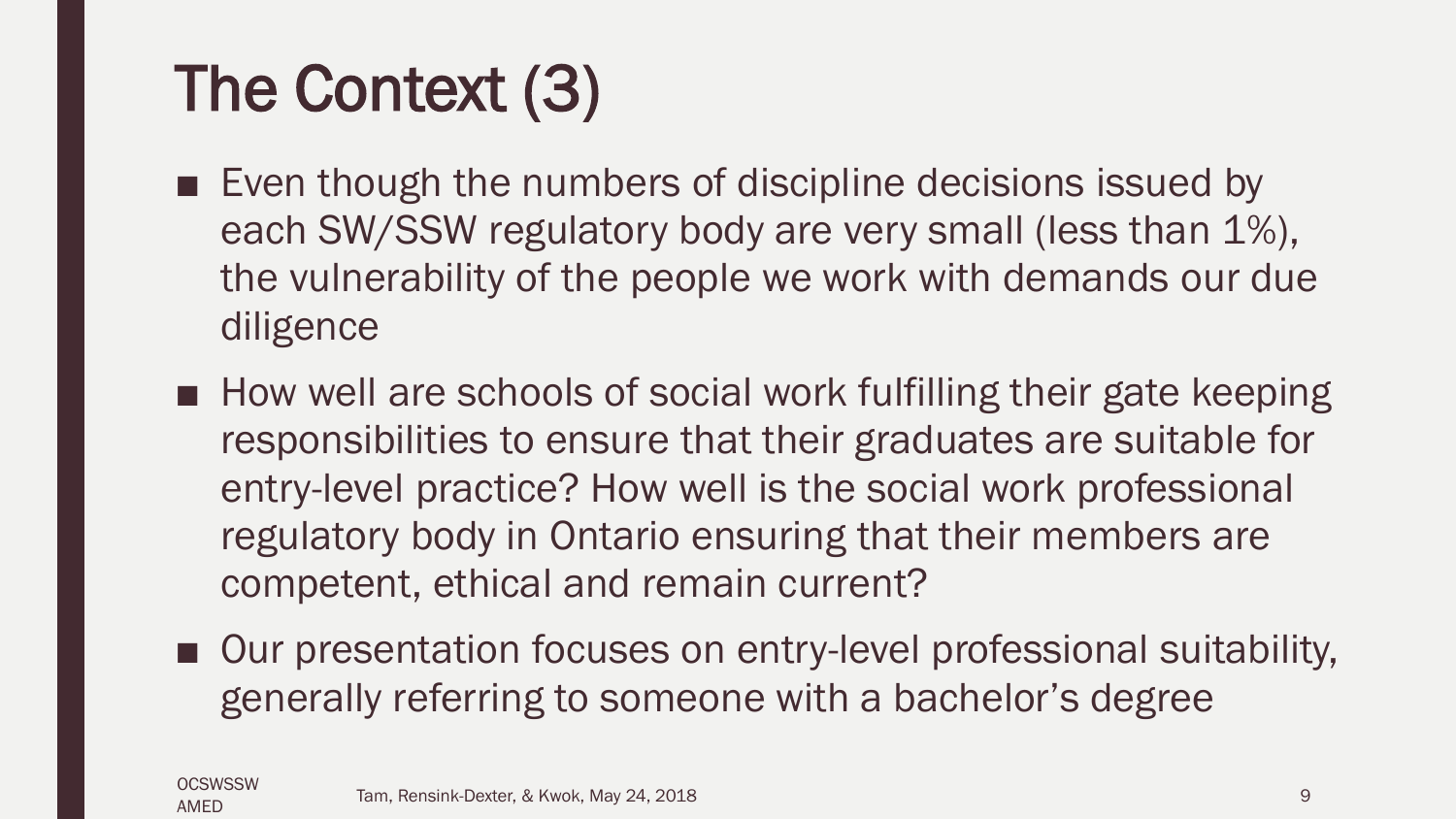# The Context (3)

- Even though the numbers of discipline decisions issued by each SW/SSW regulatory body are very small (less than 1%), the vulnerability of the people we work with demands our due diligence
- How well are schools of social work fulfilling their gate keeping responsibilities to ensure that their graduates are suitable for entry-level practice? How well is the social work professional regulatory body in Ontario ensuring that their members are competent, ethical and remain current?
- Our presentation focuses on entry-level professional suitability, generally referring to someone with a bachelor's degree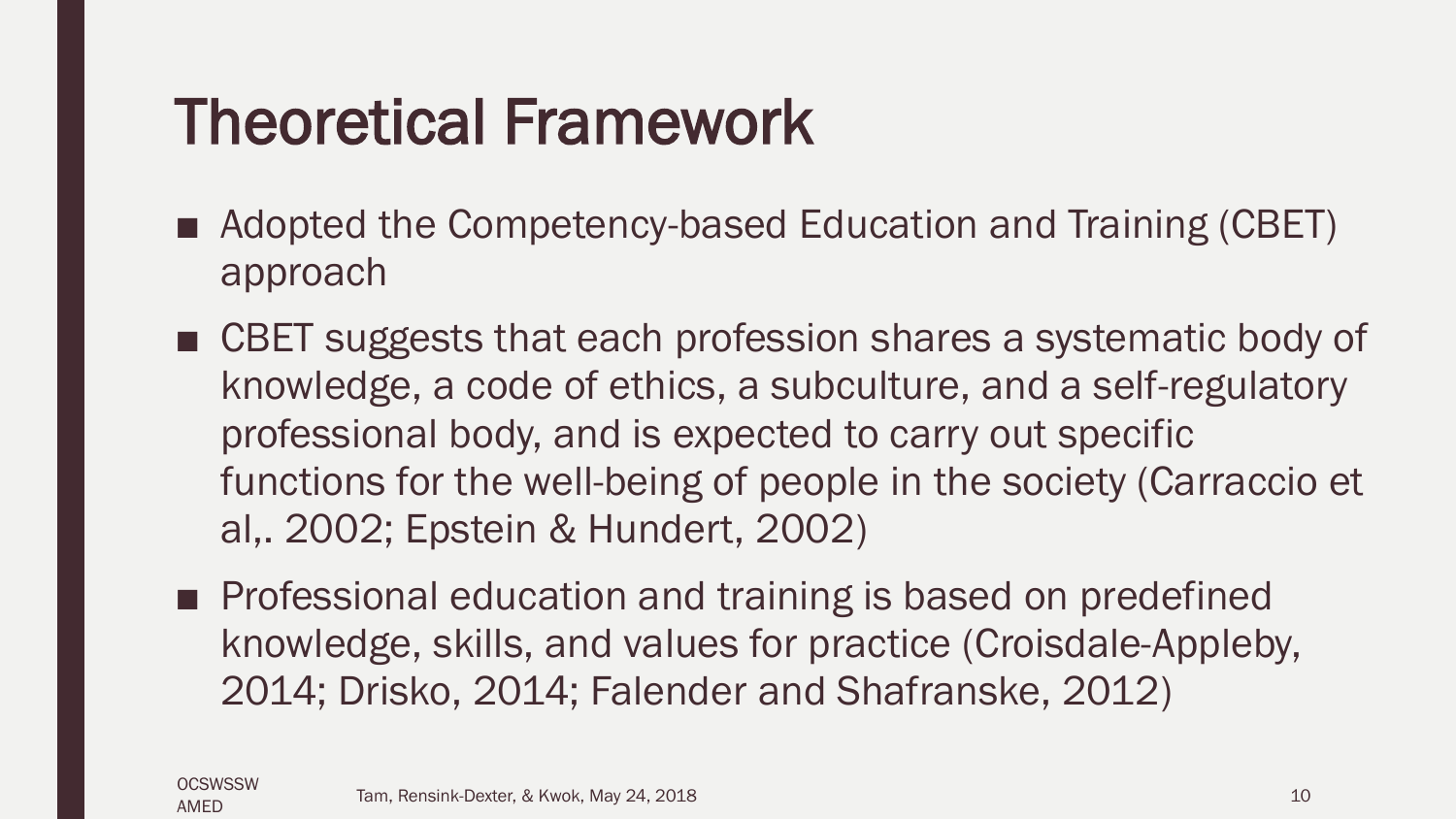### Theoretical Framework

- Adopted the Competency-based Education and Training (CBET) approach
- CBET suggests that each profession shares a systematic body of knowledge, a code of ethics, a subculture, and a self-regulatory professional body, and is expected to carry out specific functions for the well-being of people in the society (Carraccio et al,. 2002; Epstein & Hundert, 2002)
- Professional education and training is based on predefined knowledge, skills, and values for practice (Croisdale-Appleby, 2014; Drisko, 2014; Falender and Shafranske, 2012)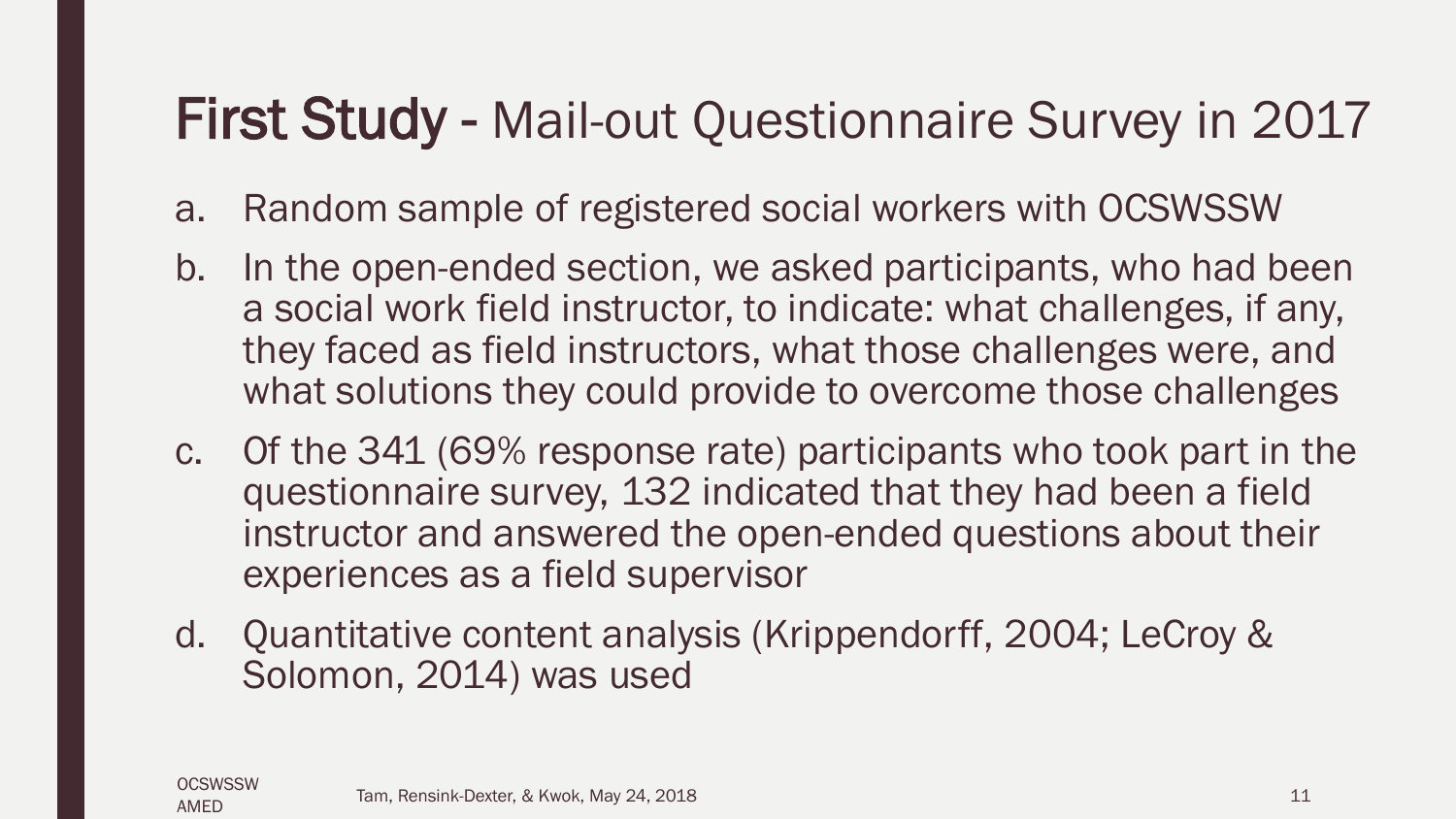### First Study - Mail-out Questionnaire Survey in 2017

- a. Random sample of registered social workers with OCSWSSW
- b. In the open-ended section, we asked participants, who had been a social work field instructor, to indicate: what challenges, if any, they faced as field instructors, what those challenges were, and what solutions they could provide to overcome those challenges
- c. Of the 341 (69% response rate) participants who took part in the questionnaire survey, 132 indicated that they had been a field instructor and answered the open-ended questions about their experiences as a field supervisor
- d. Quantitative content analysis (Krippendorff, 2004; LeCroy & Solomon, 2014) was used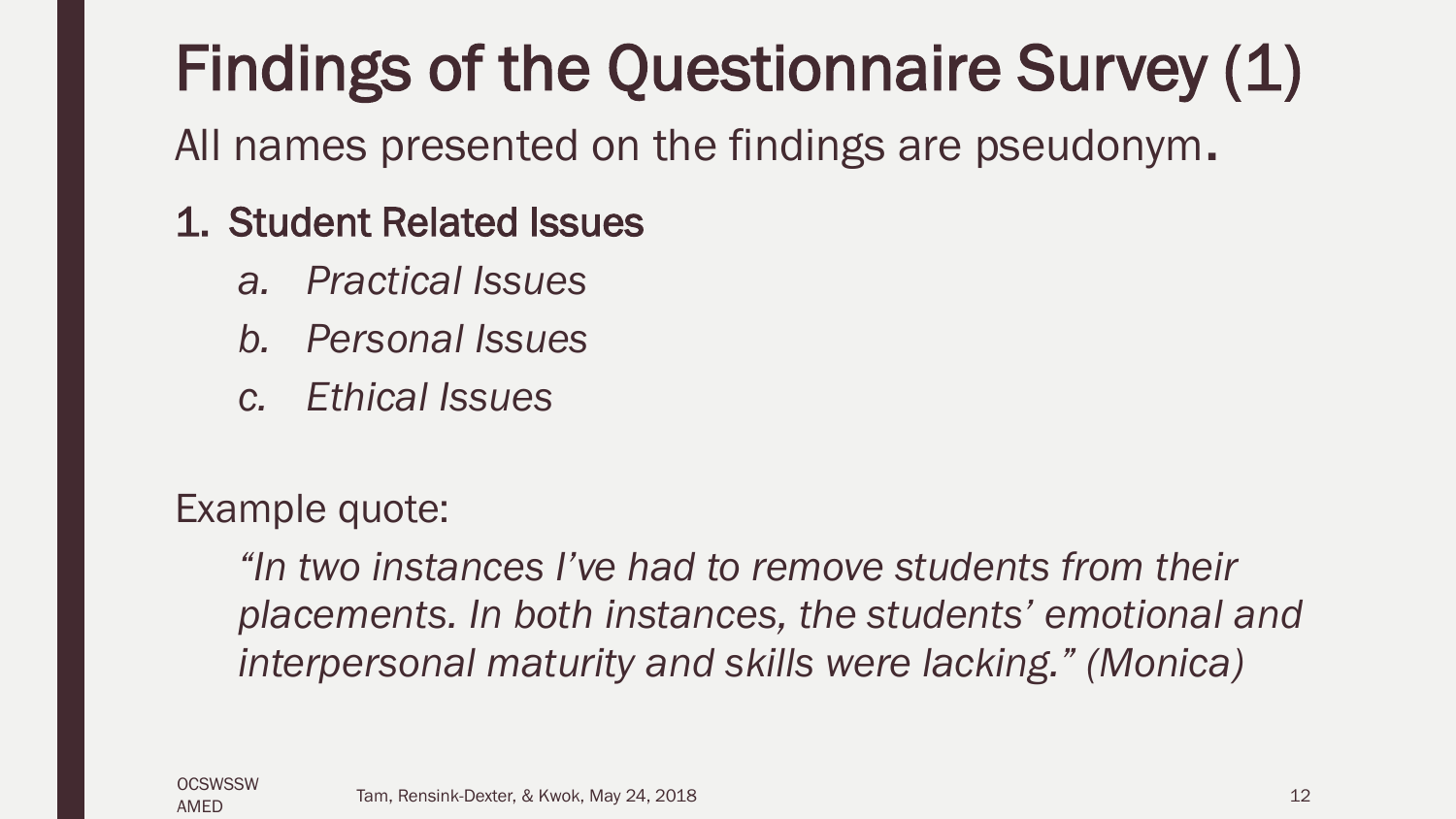## Findings of the Questionnaire Survey (1)

All names presented on the findings are pseudonym.

#### 1. Student Related Issues

- *a. Practical Issues*
- *b. Personal Issues*
- *c. Ethical Issues*

Example quote:

*"In two instances I've had to remove students from their placements. In both instances, the students' emotional and interpersonal maturity and skills were lacking." (Monica)*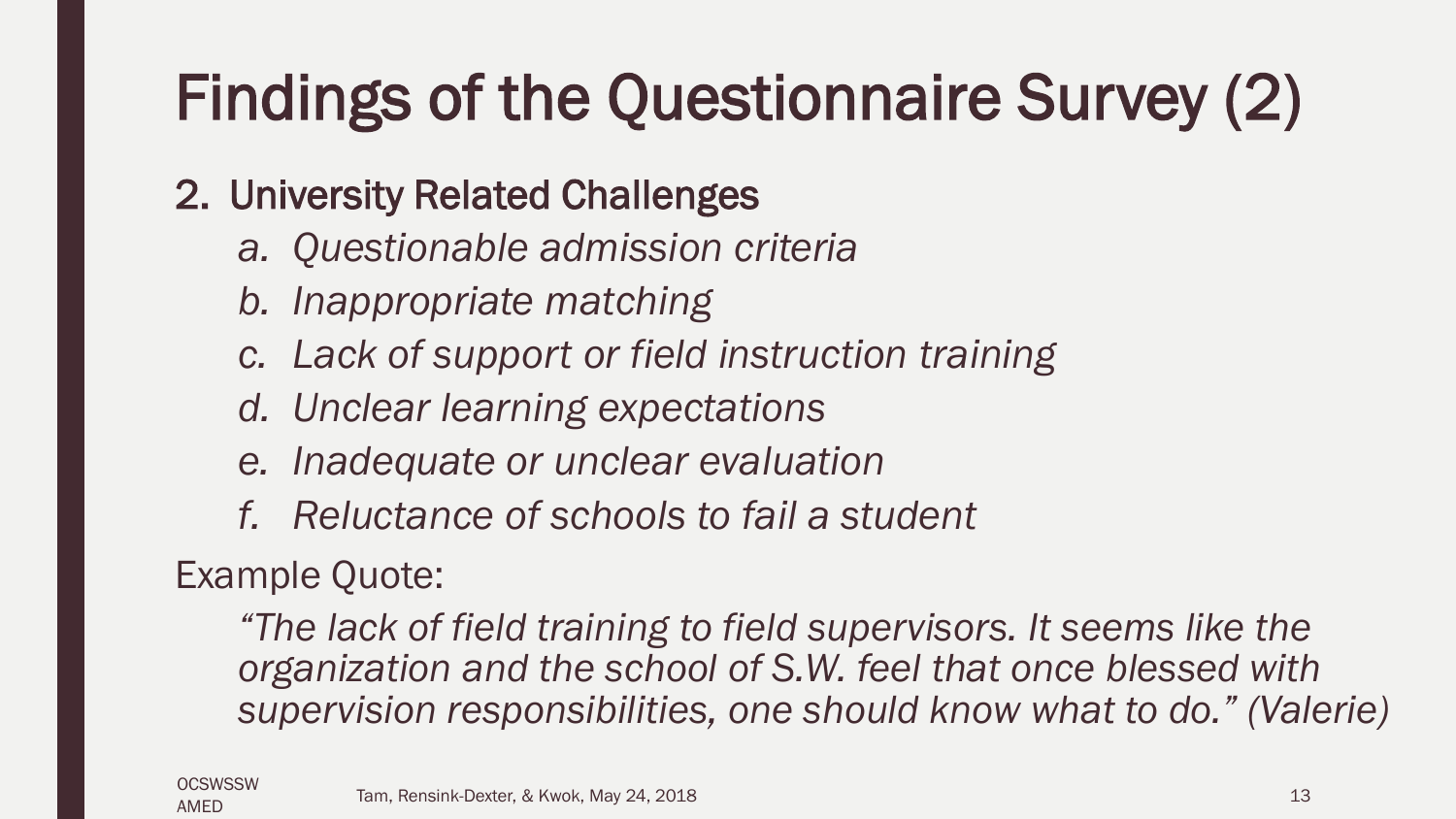# Findings of the Questionnaire Survey (2)

#### 2. University Related Challenges

- *a. Questionable admission criteria*
- *b. Inappropriate matching*
- *c. Lack of support or field instruction training*
- *d. Unclear learning expectations*
- *e. Inadequate or unclear evaluation*
- *f. Reluctance of schools to fail a student*

#### Example Quote:

*"The lack of field training to field supervisors. It seems like the organization and the school of S.W. feel that once blessed with supervision responsibilities, one should know what to do." (Valerie)*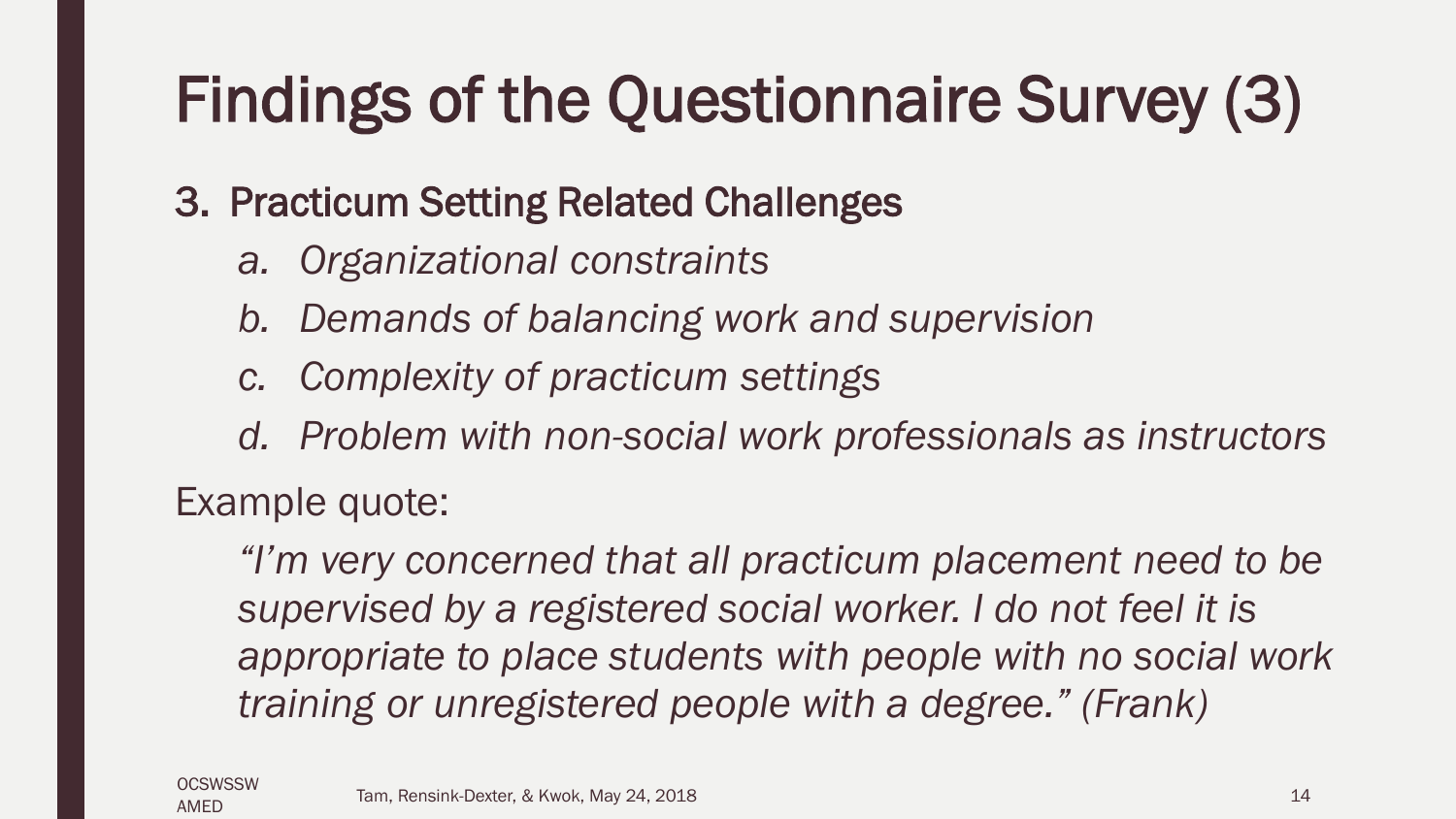# Findings of the Questionnaire Survey (3)

#### 3. Practicum Setting Related Challenges

- *a. Organizational constraints*
- *b. Demands of balancing work and supervision*
- *c. Complexity of practicum settings*
- *d. Problem with non-social work professionals as instructors*

#### Example quote:

*"I'm very concerned that all practicum placement need to be supervised by a registered social worker. I do not feel it is appropriate to place students with people with no social work training or unregistered people with a degree." (Frank)*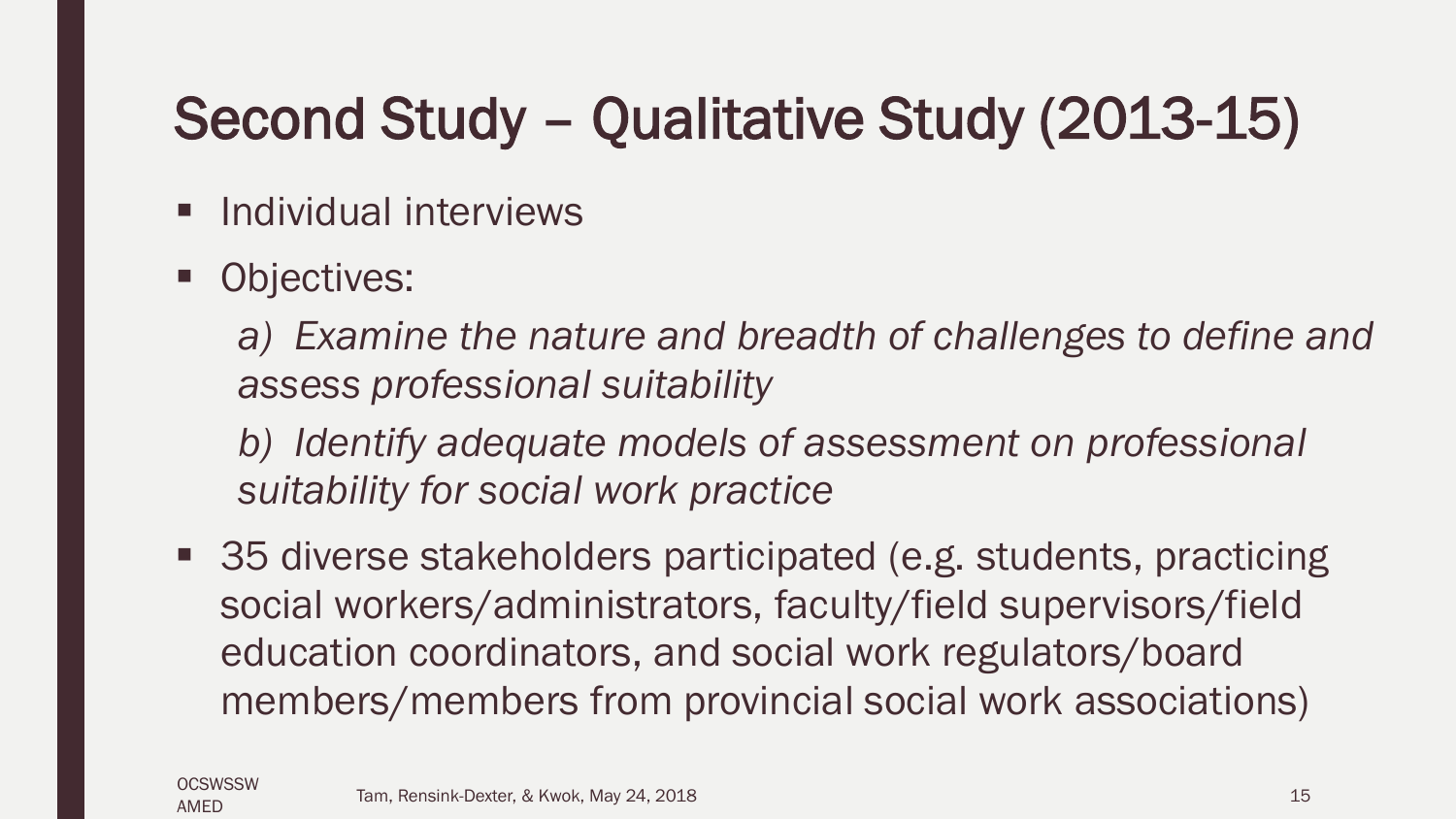### Second Study – Qualitative Study (2013-15)

- **Individual interviews**
- Objectives:

*a) Examine the nature and breadth of challenges to define and assess professional suitability*

*b) Identify adequate models of assessment on professional suitability for social work practice*

■ 35 diverse stakeholders participated (e.g. students, practicing social workers/administrators, faculty/field supervisors/field education coordinators, and social work regulators/board members/members from provincial social work associations)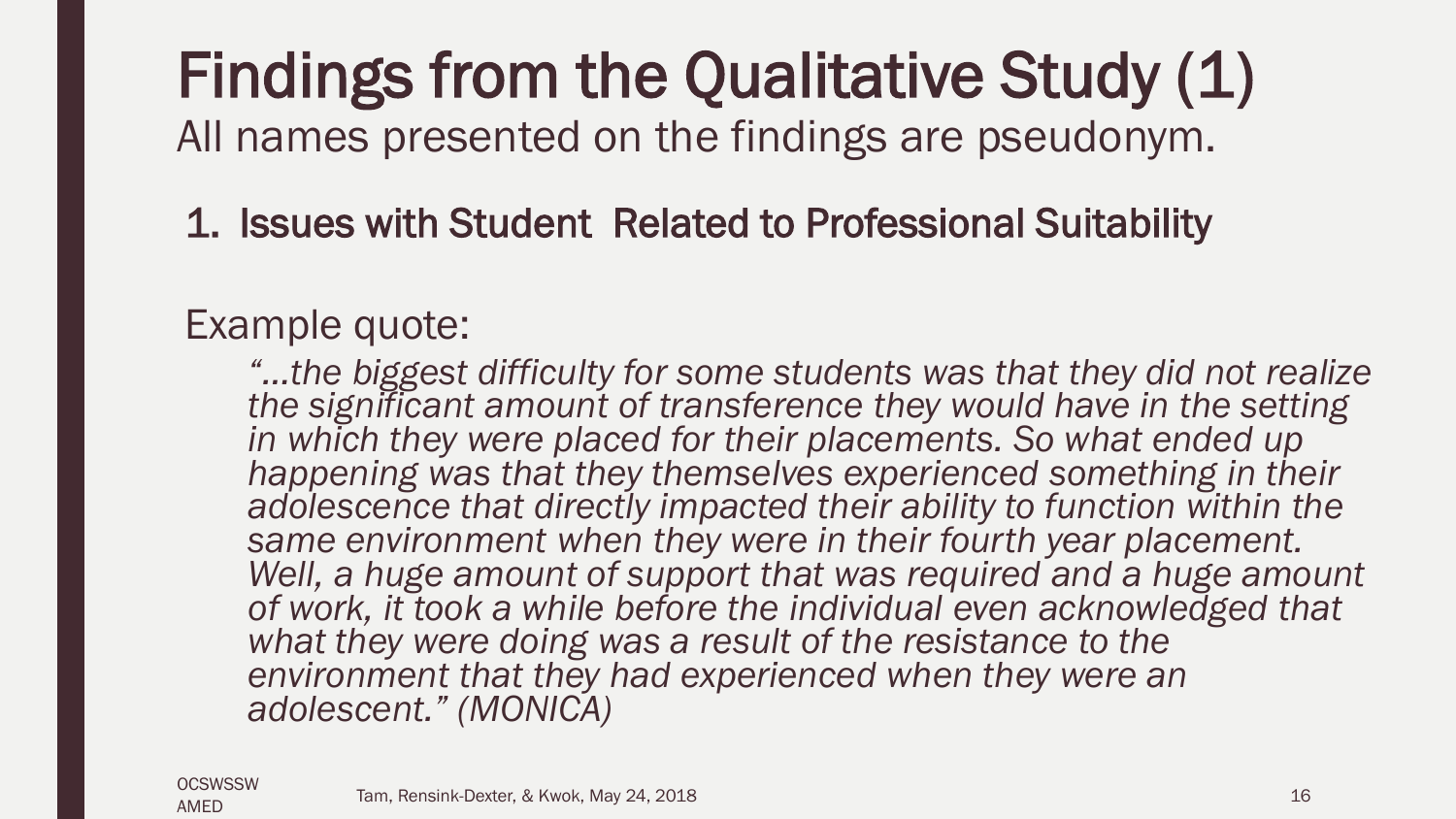# Findings from the Qualitative Study (1)

All names presented on the findings are pseudonym.

#### 1. Issues with Student Related to Professional Suitability

#### Example quote:

*"…the biggest difficulty for some students was that they did not realize the significant amount of transference they would have in the setting in which they were placed for their placements. So what ended up happening was that they themselves experienced something in their adolescence that directly impacted their ability to function within the same environment when they were in their fourth year placement.*  Well, a huge amount of support that was required and a huge amount *of work, it took a while before the individual even acknowledged that what they were doing was a result of the resistance to the environment that they had experienced when they were an adolescent." (MONICA)*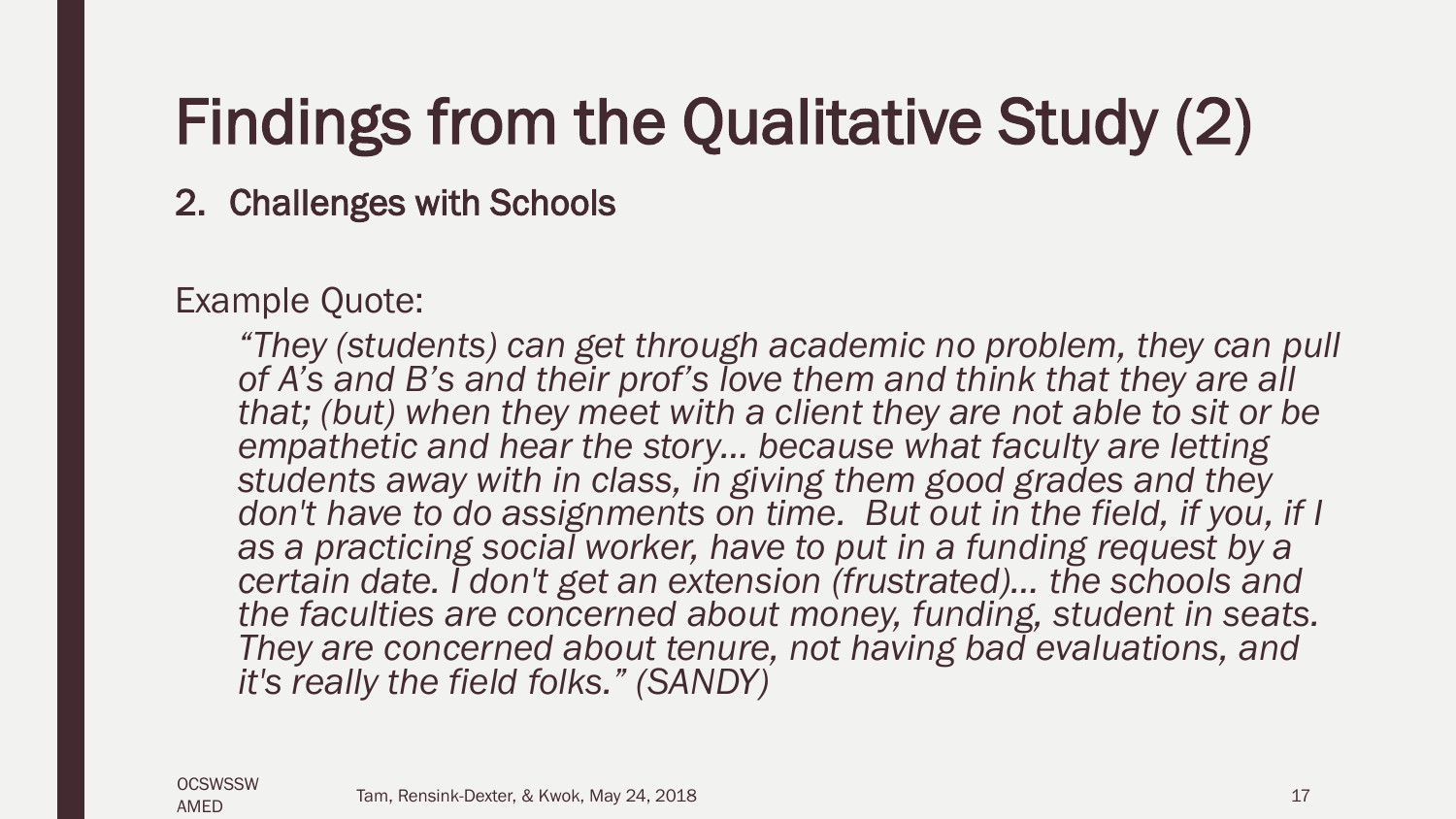### Findings from the Qualitative Study (2)

2. Challenges with Schools

Example Quote:

*"They (students) can get through academic no problem, they can pull of A's and B's and their prof's love them and think that they are all that; (but) when they meet with a client they are not able to sit or be empathetic and hear the story… because what faculty are letting students away with in class, in giving them good grades and they*  don't have to do assignments on time. But out in the field, if you, if I *as a practicing social worker, have to put in a funding request by a certain date. I don't get an extension (frustrated)… the schools and the faculties are concerned about money, funding, student in seats. They are concerned about tenure, not having bad evaluations, and it's really the field folks." (SANDY)*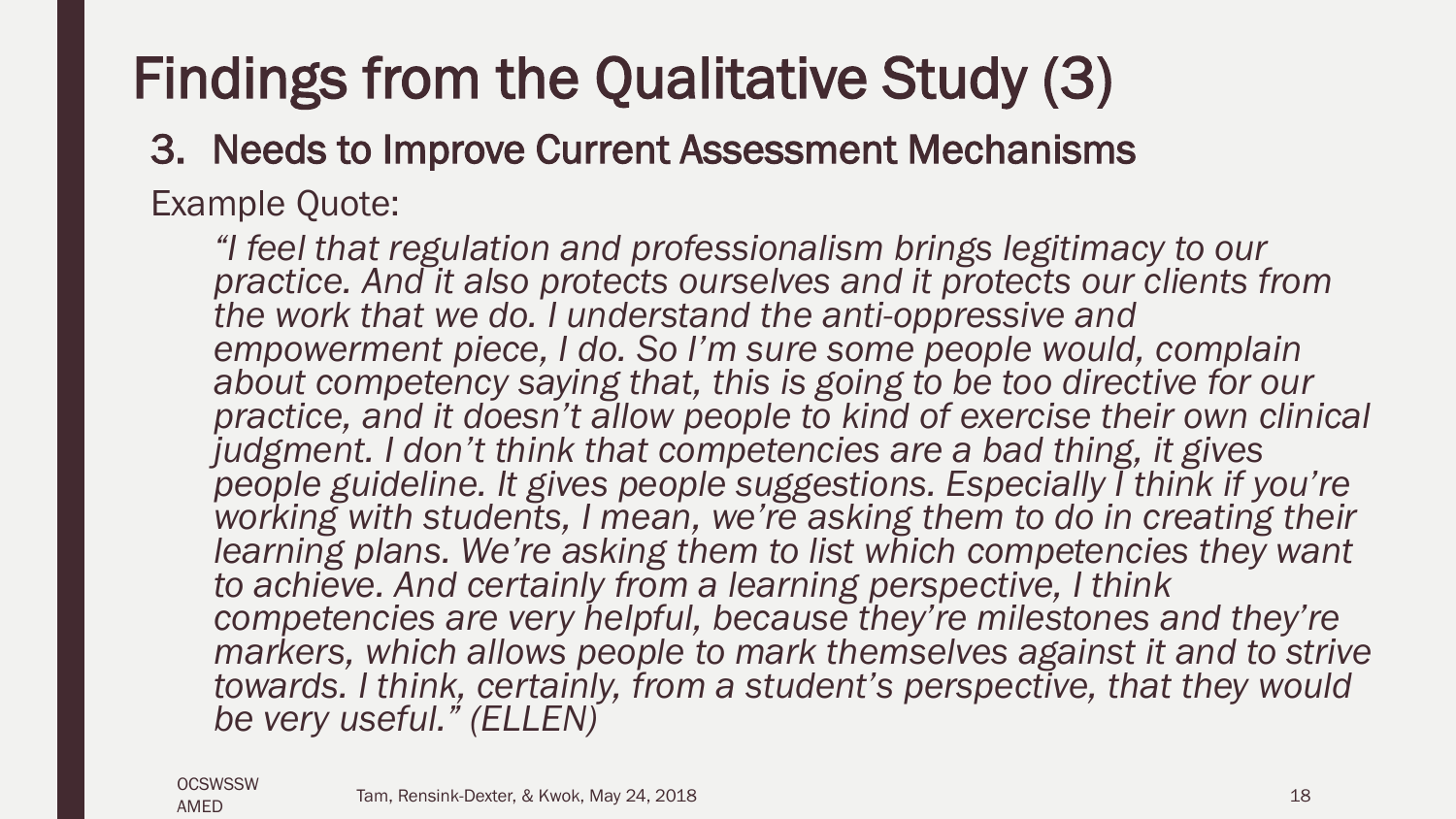### Findings from the Qualitative Study (3)

#### 3. Needs to Improve Current Assessment Mechanisms

Example Quote:

*"I feel that regulation and professionalism brings legitimacy to our practice. And it also protects ourselves and it protects our clients from the work that we do. I understand the anti-oppressive and empowerment piece, I do. So I'm sure some people would, complain about competency saying that, this is going to be too directive for our practice, and it doesn't allow people to kind of exercise their own clinical judgment. I don't think that competencies are a bad thing, it gives* people guideline. It gives people suggestions. Especially I think if you're working with students, I mean, we're asking them to do in creating their learning plans. We're asking them to list which competencies they want *to achieve. And certainly from a learning perspective, I think competencies are very helpful, because they're milestones and they're*  markers, which allows people to mark themselves against it and to strive *towards. I think, certainly, from a student's perspective, that they would be very useful." (ELLEN)*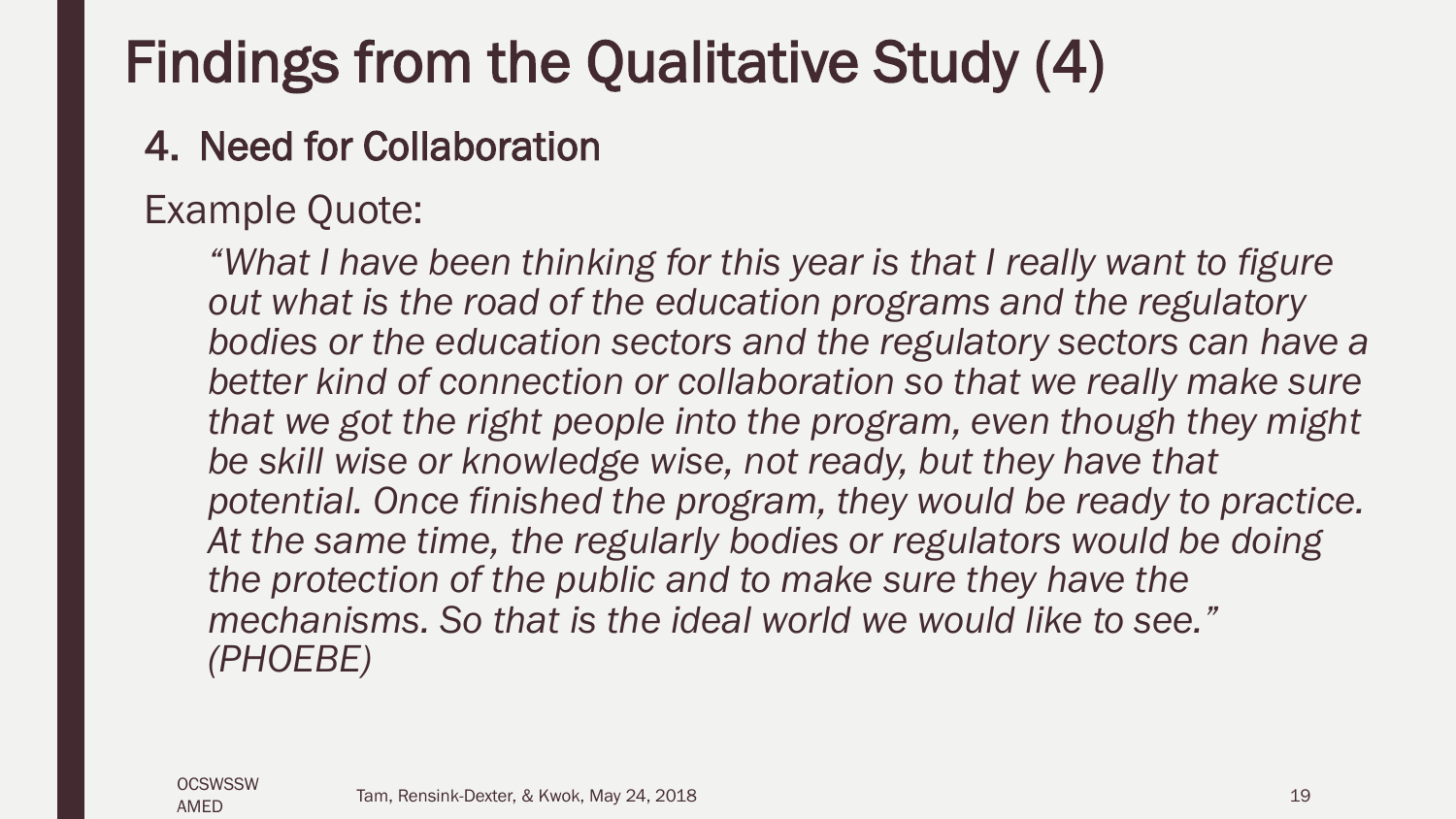### Findings from the Qualitative Study (4)

#### 4. Need for Collaboration

#### Example Quote:

*"What I have been thinking for this year is that I really want to figure out what is the road of the education programs and the regulatory bodies or the education sectors and the regulatory sectors can have a better kind of connection or collaboration so that we really make sure that we got the right people into the program, even though they might be skill wise or knowledge wise, not ready, but they have that potential. Once finished the program, they would be ready to practice. At the same time, the regularly bodies or regulators would be doing the protection of the public and to make sure they have the mechanisms. So that is the ideal world we would like to see." (PHOEBE)*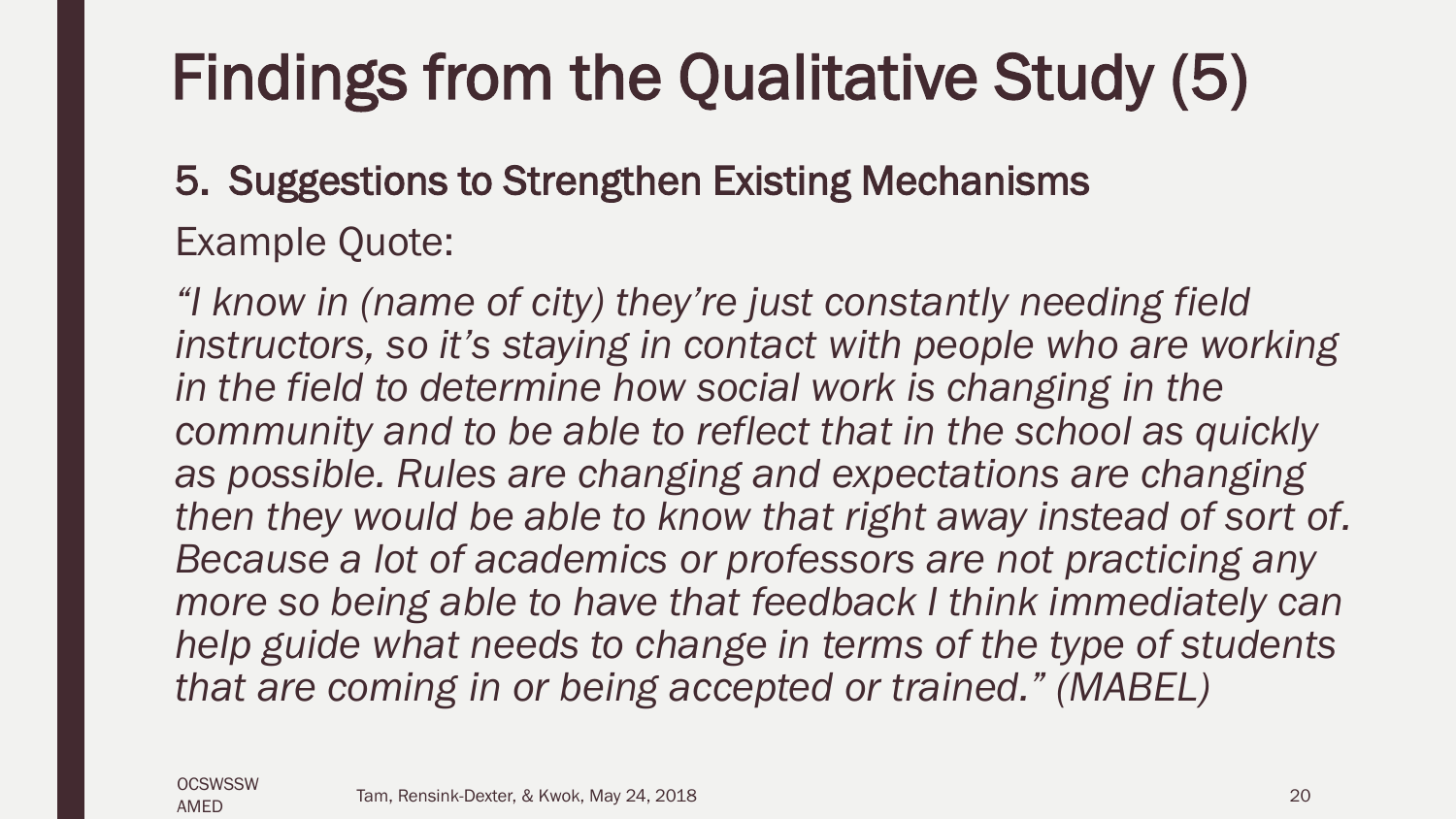## Findings from the Qualitative Study (5)

### 5. Suggestions to Strengthen Existing Mechanisms Example Quote:

*"I know in (name of city) they're just constantly needing field instructors, so it's staying in contact with people who are working in the field to determine how social work is changing in the community and to be able to reflect that in the school as quickly as possible. Rules are changing and expectations are changing then they would be able to know that right away instead of sort of. Because a lot of academics or professors are not practicing any more so being able to have that feedback I think immediately can help guide what needs to change in terms of the type of students that are coming in or being accepted or trained." (MABEL)*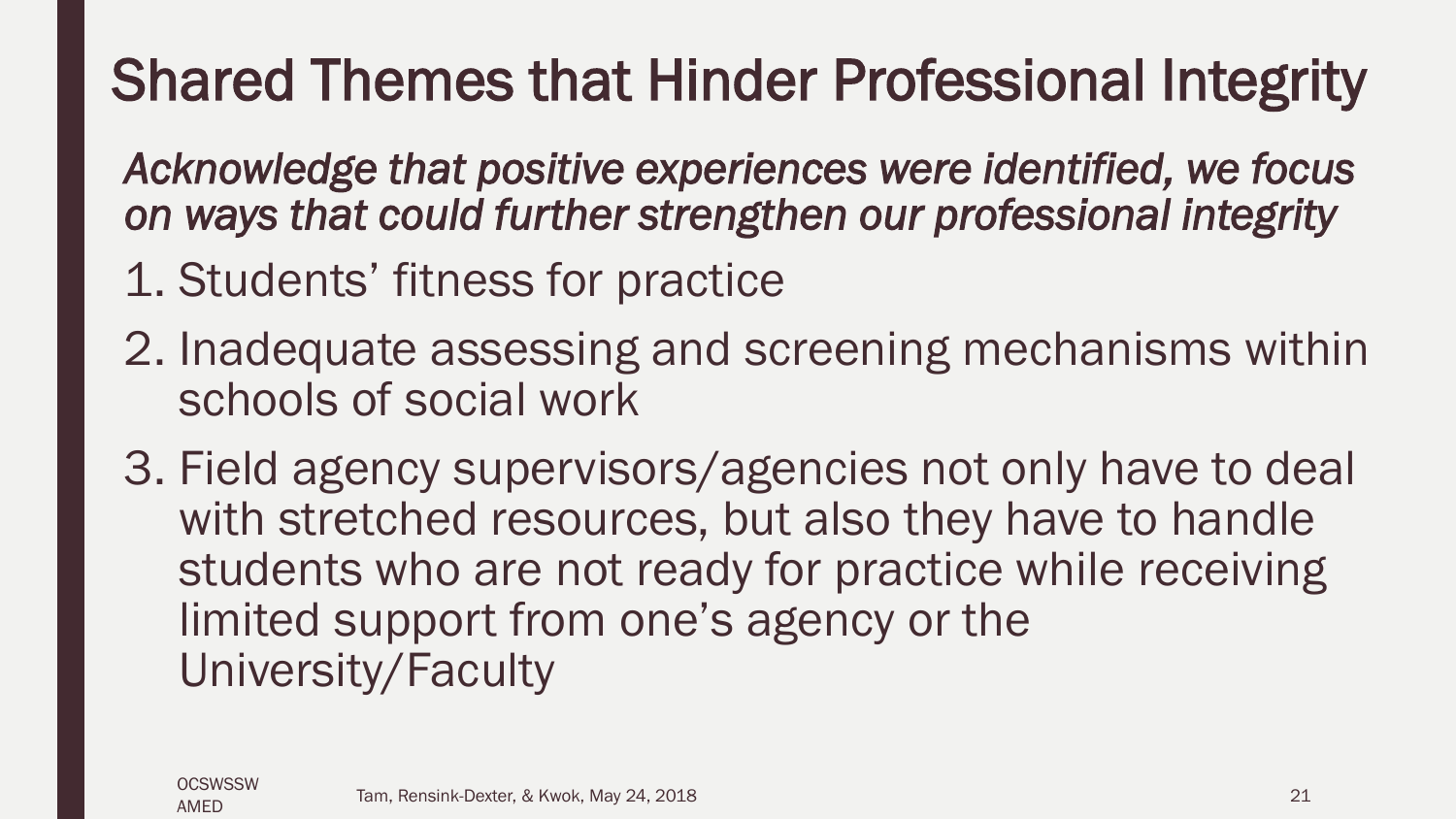### Shared Themes that Hinder Professional Integrity

*Acknowledge that positive experiences were identified, we focus on ways that could further strengthen our professional integrity* 

- 1. Students' fitness for practice
- 2. Inadequate assessing and screening mechanisms within schools of social work
- 3. Field agency supervisors/agencies not only have to deal with stretched resources, but also they have to handle students who are not ready for practice while receiving limited support from one's agency or the University/Faculty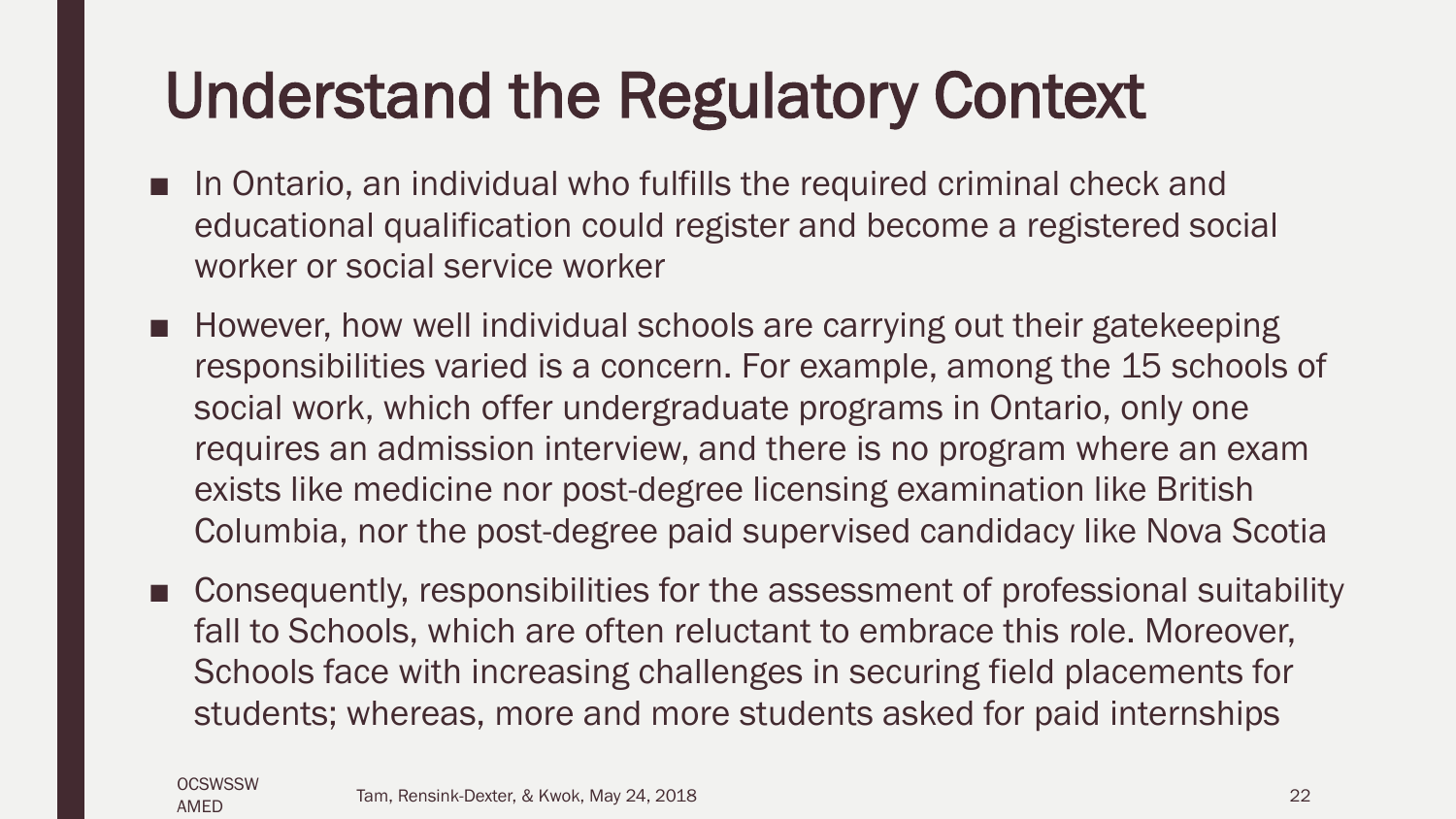### Understand the Regulatory Context

- In Ontario, an individual who fulfills the required criminal check and educational qualification could register and become a registered social worker or social service worker
- However, how well individual schools are carrying out their gatekeeping responsibilities varied is a concern. For example, among the 15 schools of social work, which offer undergraduate programs in Ontario, only one requires an admission interview, and there is no program where an exam exists like medicine nor post-degree licensing examination like British Columbia, nor the post-degree paid supervised candidacy like Nova Scotia
- Consequently, responsibilities for the assessment of professional suitability fall to Schools, which are often reluctant to embrace this role. Moreover, Schools face with increasing challenges in securing field placements for students; whereas, more and more students asked for paid internships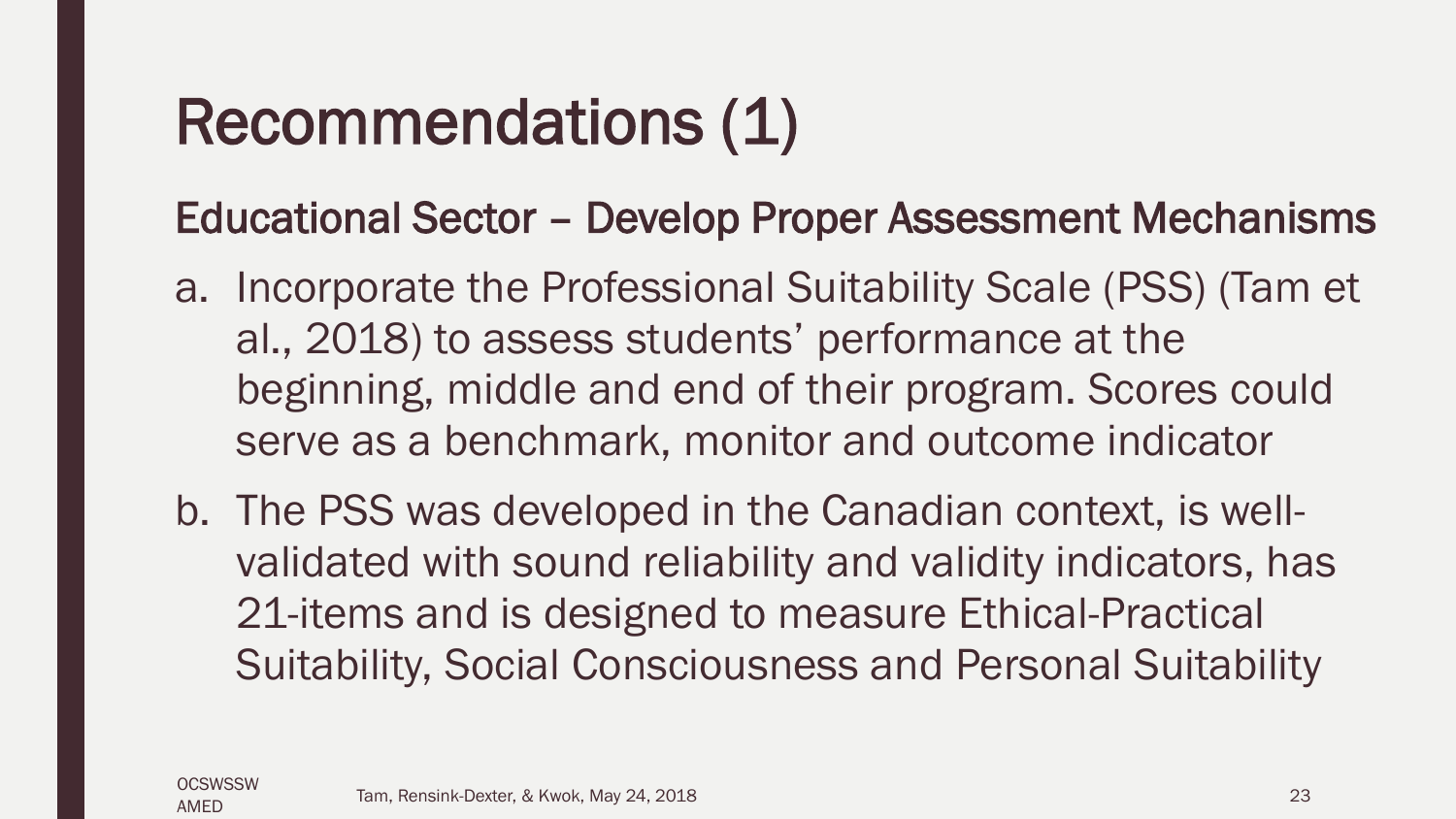### Recommendations (1)

Educational Sector – Develop Proper Assessment Mechanisms

- a. Incorporate the Professional Suitability Scale (PSS) (Tam et al., 2018) to assess students' performance at the beginning, middle and end of their program. Scores could serve as a benchmark, monitor and outcome indicator
- b. The PSS was developed in the Canadian context, is wellvalidated with sound reliability and validity indicators, has 21-items and is designed to measure Ethical-Practical Suitability, Social Consciousness and Personal Suitability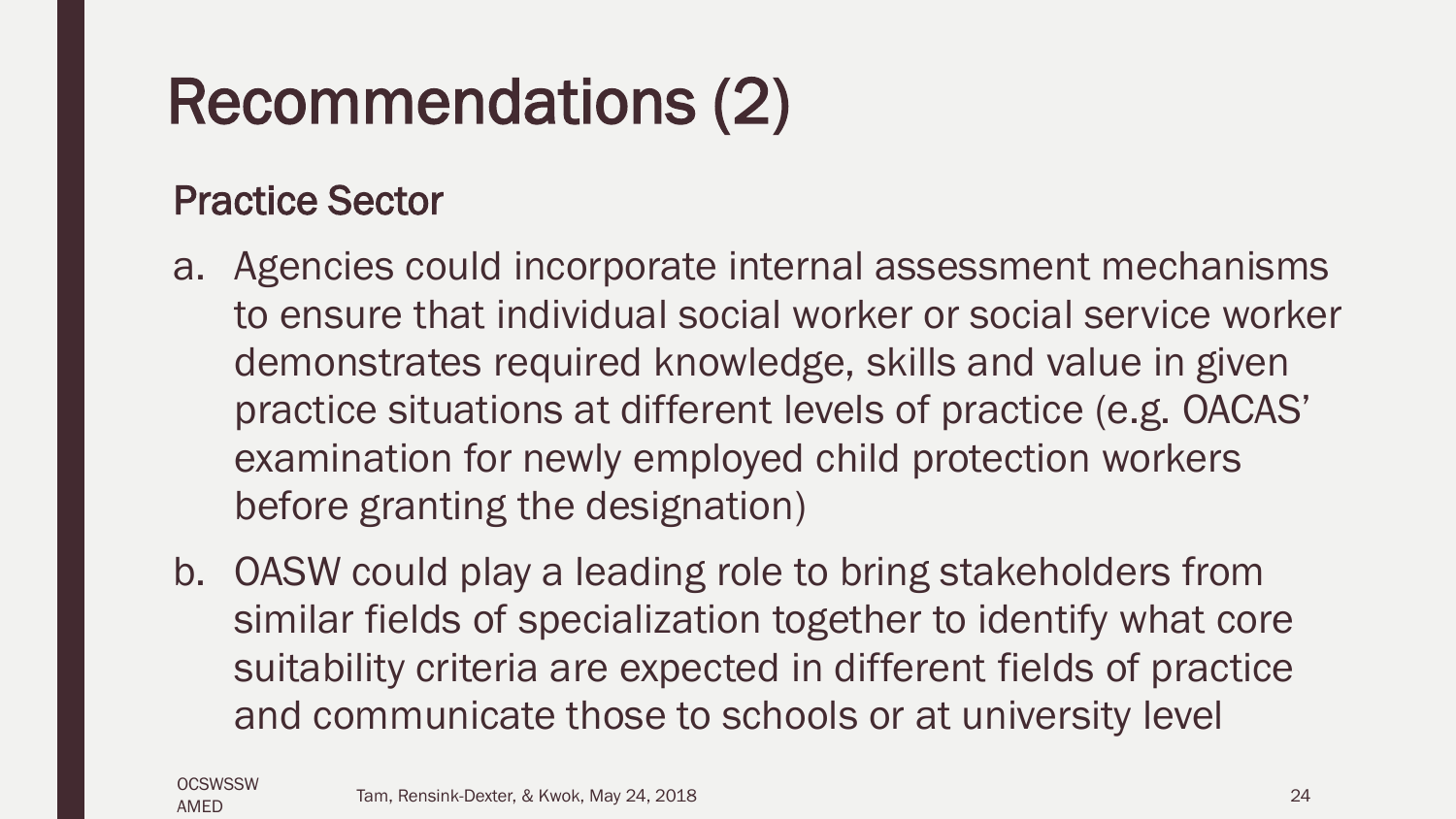### Recommendations (2)

#### Practice Sector

- a. Agencies could incorporate internal assessment mechanisms to ensure that individual social worker or social service worker demonstrates required knowledge, skills and value in given practice situations at different levels of practice (e.g. OACAS' examination for newly employed child protection workers before granting the designation)
- b. OASW could play a leading role to bring stakeholders from similar fields of specialization together to identify what core suitability criteria are expected in different fields of practice and communicate those to schools or at university level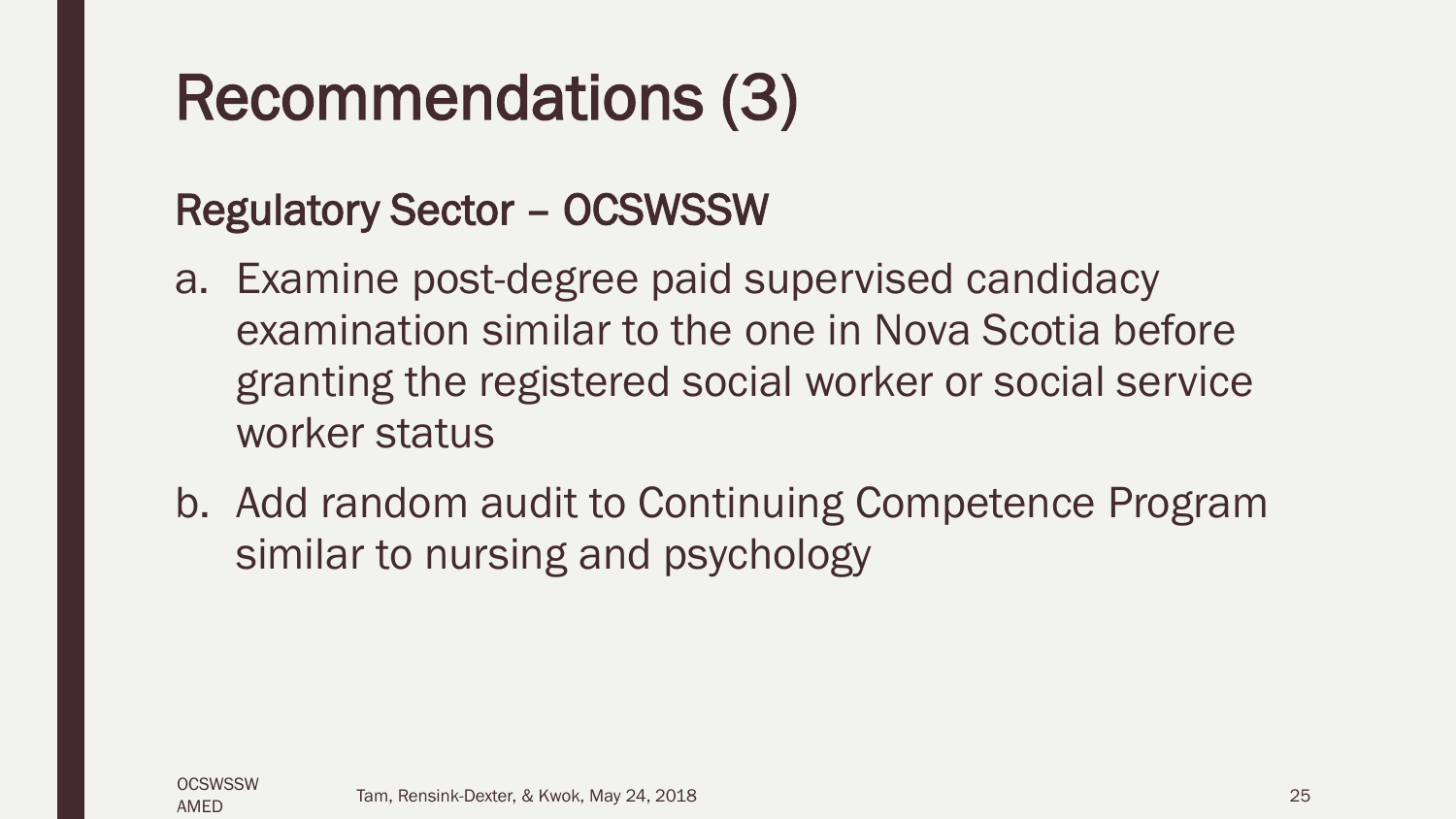### Recommendations (3)

#### Regulatory Sector – OCSWSSW

- a. Examine post-degree paid supervised candidacy examination similar to the one in Nova Scotia before granting the registered social worker or social service worker status
- b. Add random audit to Continuing Competence Program similar to nursing and psychology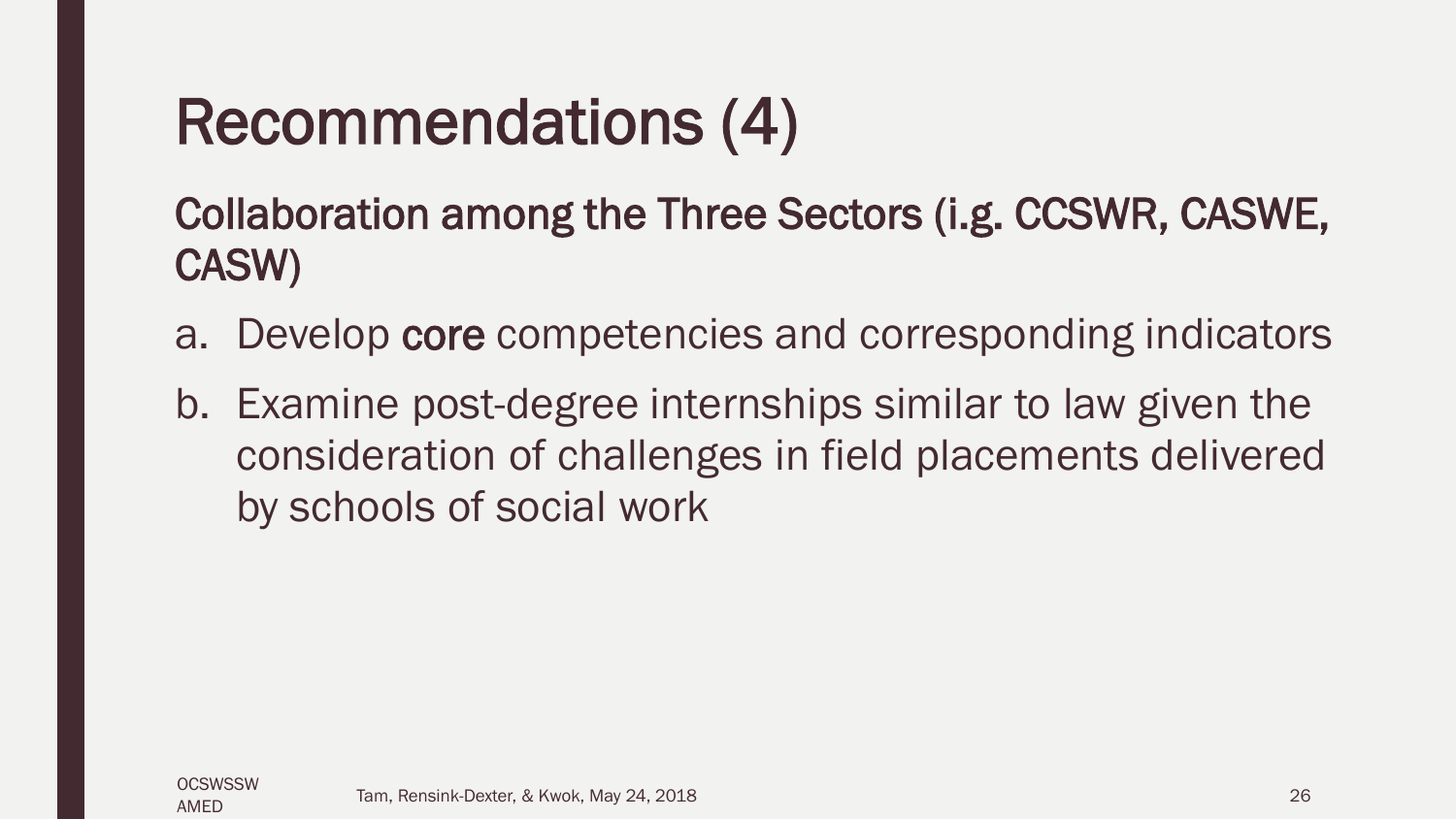### Recommendations (4)

Collaboration among the Three Sectors (i.g. CCSWR, CASWE, CASW)

- a. Develop core competencies and corresponding indicators
- b. Examine post-degree internships similar to law given the consideration of challenges in field placements delivered by schools of social work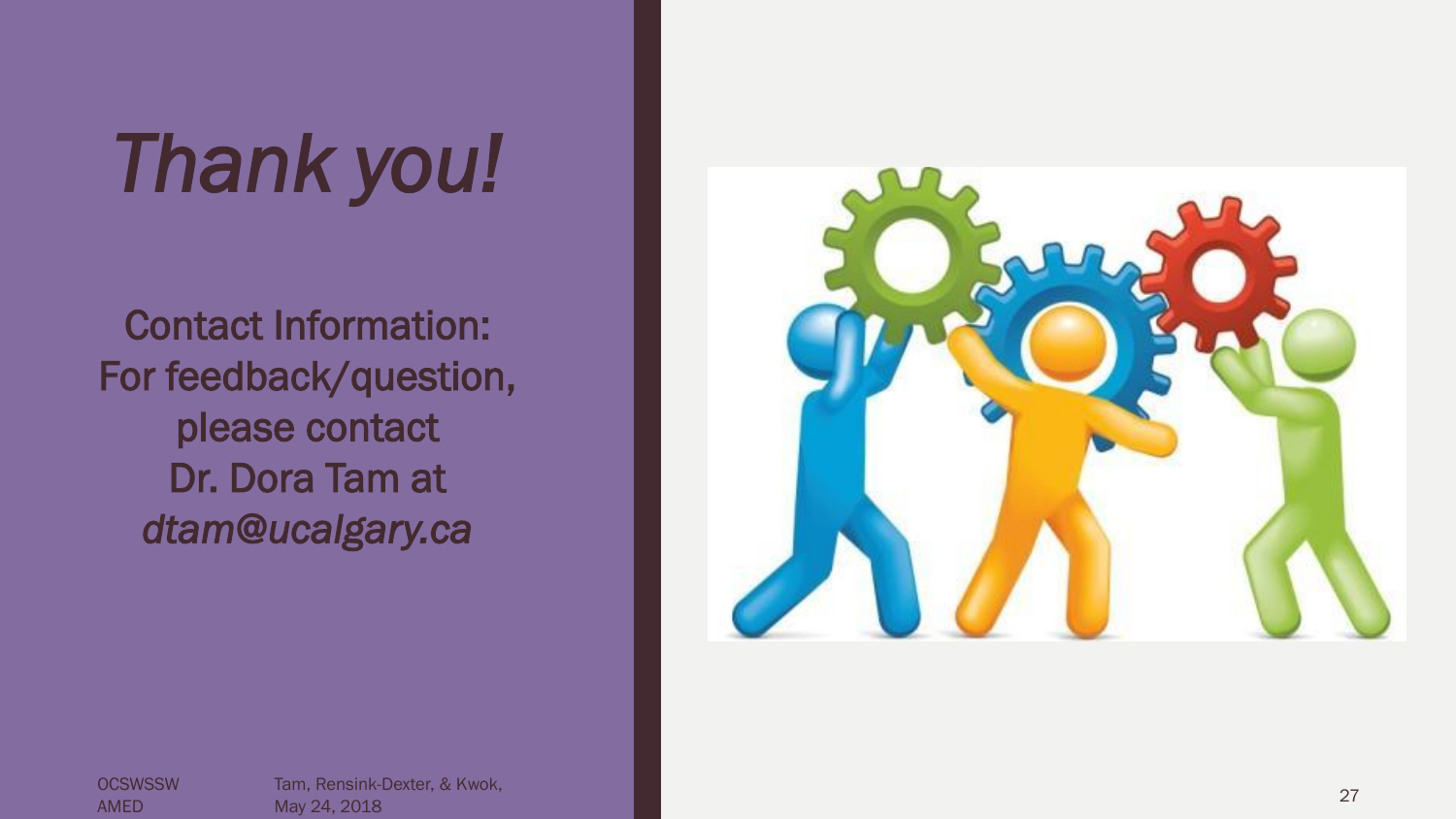# *Thank you!*

Contact Information: For feedback/question, please contact Dr. Dora Tam at *dtam@ucalgary.ca* 



**OCSWSSW** AMED

Tam, Rensink -Dexter, & Kwok, ndin, Nehsink-Bexter, & Kwok, 27<br>May 24, 2018 2018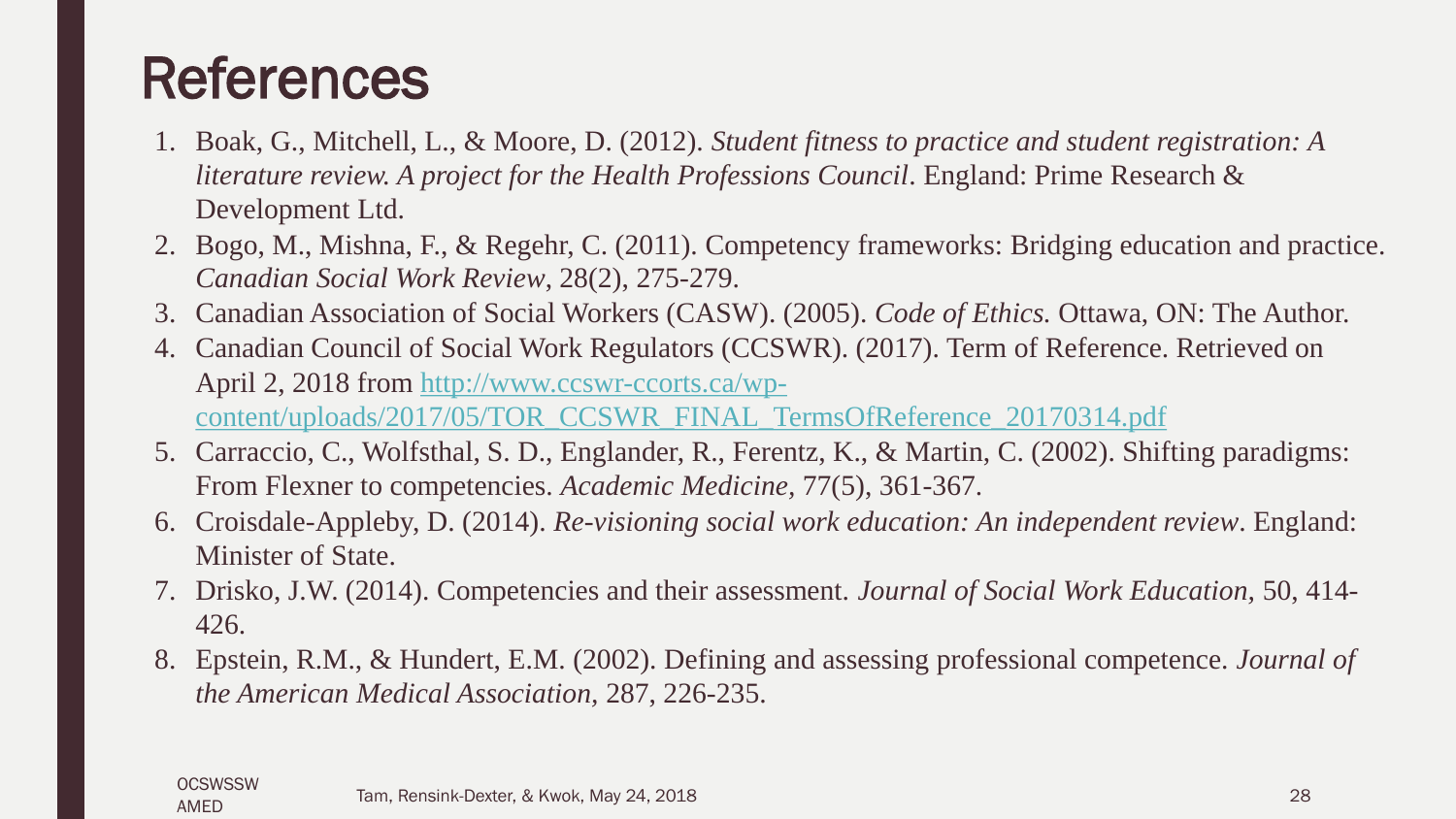### References

- 1. Boak, G., Mitchell, L., & Moore, D. (2012). *Student fitness to practice and student registration: A literature review. A project for the Health Professions Council*. England: Prime Research & Development Ltd.
- 2. Bogo, M., Mishna, F., & Regehr, C. (2011). Competency frameworks: Bridging education and practice. *Canadian Social Work Review*, 28(2), 275-279.
- 3. Canadian Association of Social Workers (CASW). (2005). *Code of Ethics.* Ottawa, ON: The Author.
- 4. Canadian Council of Social Work Regulators (CCSWR). (2017). Term of Reference. Retrieved on April 2, 2018 from [http://www.ccswr-ccorts.ca/wp](http://www.ccswr-ccorts.ca/wp-content/uploads/2017/05/TOR_CCSWR_FINAL_TermsOfReference_20170314.pdf)[content/uploads/2017/05/TOR\\_CCSWR\\_FINAL\\_TermsOfReference\\_20170314.pdf](http://www.ccswr-ccorts.ca/wp-content/uploads/2017/05/TOR_CCSWR_FINAL_TermsOfReference_20170314.pdf)
- 5. Carraccio, C., Wolfsthal, S. D., Englander, R., Ferentz, K., & Martin, C. (2002). Shifting paradigms: From Flexner to competencies. *Academic Medicine,* 77(5), 361-367.
- 6. Croisdale-Appleby, D. (2014). *Re-visioning social work education: An independent review*. England: Minister of State.
- 7. Drisko, J.W. (2014). Competencies and their assessment. *Journal of Social Work Education,* 50, 414- 426.
- 8. Epstein, R.M., & Hundert, E.M. (2002). Defining and assessing professional competence. *Journal of the American Medical Association,* 287, 226-235.